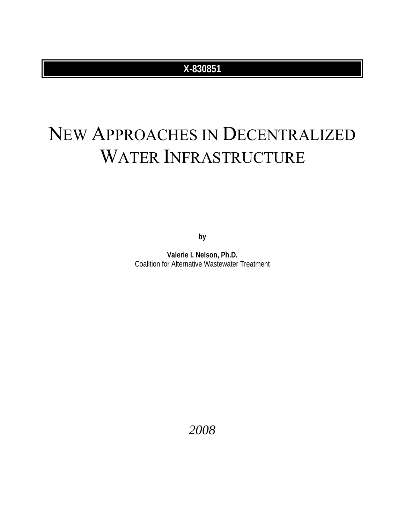# **X-830851**

# NEW APPROACHES IN DECENTRALIZED WATER INFRASTRUCTURE

**by** 

**Valerie I. Nelson, Ph.D.**  Coalition for Alternative Wastewater Treatment

*2008*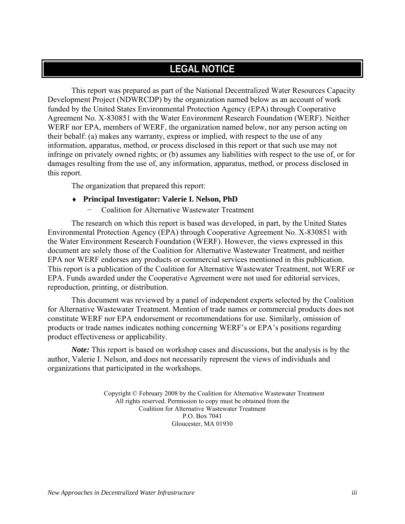# <span id="page-2-0"></span>**LEGAL NOTICE**

This report was prepared as part of the National Decentralized Water Resources Capacity Development Project (NDWRCDP) by the organization named below as an account of work funded by the United States Environmental Protection Agency (EPA) through Cooperative Agreement No. X-830851 with the Water Environment Research Foundation (WERF). Neither WERF nor EPA, members of WERF, the organization named below, nor any person acting on their behalf: (a) makes any warranty, express or implied, with respect to the use of any information, apparatus, method, or process disclosed in this report or that such use may not infringe on privately owned rights; or (b) assumes any liabilities with respect to the use of, or for damages resulting from the use of, any information, apparatus, method, or process disclosed in this report.

The organization that prepared this report:

- ♦ **Principal Investigator: Valerie I. Nelson, PhD** 
	- − Coalition for Alternative Wastewater Treatment

The research on which this report is based was developed, in part, by the United States Environmental Protection Agency (EPA) through Cooperative Agreement No. X-830851 with the Water Environment Research Foundation (WERF). However, the views expressed in this document are solely those of the Coalition for Alternative Wastewater Treatment, and neither EPA nor WERF endorses any products or commercial services mentioned in this publication. This report is a publication of the Coalition for Alternative Wastewater Treatment, not WERF or EPA. Funds awarded under the Cooperative Agreement were not used for editorial services, reproduction, printing, or distribution.

This document was reviewed by a panel of independent experts selected by the Coalition for Alternative Wastewater Treatment. Mention of trade names or commercial products does not constitute WERF nor EPA endorsement or recommendations for use. Similarly, omission of products or trade names indicates nothing concerning WERF's or EPA's positions regarding product effectiveness or applicability.

*Note:* This report is based on workshop cases and discussions, but the analysis is by the author, Valerie I. Nelson, and does not necessarily represent the views of individuals and organizations that participated in the workshops.

> Copyright © February 2008 by the Coalition for Alternative Wastewater Treatment All rights reserved. Permission to copy must be obtained from the Coalition for Alternative Wastewater Treatment P.O. Box 7041 Gloucester, MA 01930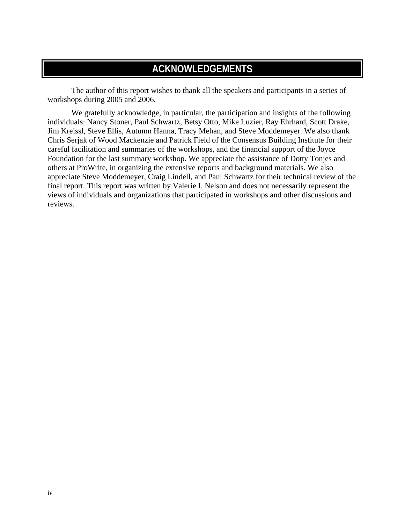# <span id="page-3-0"></span>**ACKNOWLEDGEMENTS**

The author of this report wishes to thank all the speakers and participants in a series of workshops during 2005 and 2006.

We gratefully acknowledge, in particular, the participation and insights of the following individuals: Nancy Stoner, Paul Schwartz, Betsy Otto, Mike Luzier, Ray Ehrhard, Scott Drake, Jim Kreissl, Steve Ellis, Autumn Hanna, Tracy Mehan, and Steve Moddemeyer. We also thank Chris Serjak of Wood Mackenzie and Patrick Field of the Consensus Building Institute for their careful facilitation and summaries of the workshops, and the financial support of the Joyce Foundation for the last summary workshop. We appreciate the assistance of Dotty Tonjes and others at ProWrite, in organizing the extensive reports and background materials. We also appreciate Steve Moddemeyer, Craig Lindell, and Paul Schwartz for their technical review of the final report. This report was written by Valerie I. Nelson and does not necessarily represent the views of individuals and organizations that participated in workshops and other discussions and reviews.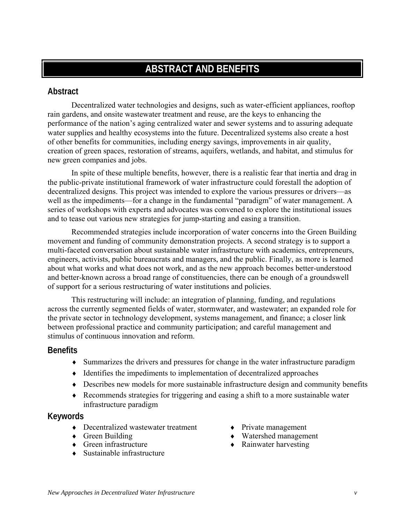# <span id="page-4-0"></span>**ABSTRACT AND BENEFITS**

# <span id="page-4-1"></span>**Abstract**

Decentralized water technologies and designs, such as water-efficient appliances, rooftop rain gardens, and onsite wastewater treatment and reuse, are the keys to enhancing the performance of the nation's aging centralized water and sewer systems and to assuring adequate water supplies and healthy ecosystems into the future. Decentralized systems also create a host of other benefits for communities, including energy savings, improvements in air quality, creation of green spaces, restoration of streams, aquifers, wetlands, and habitat, and stimulus for new green companies and jobs.

In spite of these multiple benefits, however, there is a realistic fear that inertia and drag in the public-private institutional framework of water infrastructure could forestall the adoption of decentralized designs. This project was intended to explore the various pressures or drivers—as well as the impediments—for a change in the fundamental "paradigm" of water management. A series of workshops with experts and advocates was convened to explore the institutional issues and to tease out various new strategies for jump-starting and easing a transition.

Recommended strategies include incorporation of water concerns into the Green Building movement and funding of community demonstration projects. A second strategy is to support a multi-faceted conversation about sustainable water infrastructure with academics, entrepreneurs, engineers, activists, public bureaucrats and managers, and the public. Finally, as more is learned about what works and what does not work, and as the new approach becomes better-understood and better-known across a broad range of constituencies, there can be enough of a groundswell of support for a serious restructuring of water institutions and policies.

This restructuring will include: an integration of planning, funding, and regulations across the currently segmented fields of water, stormwater, and wastewater; an expanded role for the private sector in technology development, systems management, and finance; a closer link between professional practice and community participation; and careful management and stimulus of continuous innovation and reform.

# <span id="page-4-2"></span>**Benefits**

- ♦ Summarizes the drivers and pressures for change in the water infrastructure paradigm
- ♦ Identifies the impediments to implementation of decentralized approaches
- ♦ Describes new models for more sustainable infrastructure design and community benefits
- ♦ Recommends strategies for triggering and easing a shift to a more sustainable water infrastructure paradigm

# <span id="page-4-3"></span>**Keywords**

- Decentralized wastewater treatment Private management
- 
- Green infrastructure Rainwater harvesting
- $\bullet$  Sustainable infrastructure
- 
- Green Building Watershed management
	-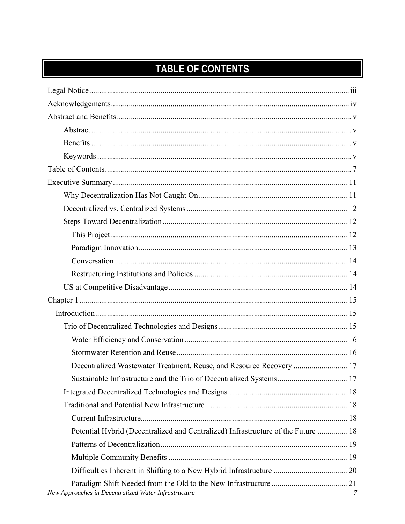# <span id="page-6-0"></span>**TABLE OF CONTENTS**

| Decentralized Wastewater Treatment, Reuse, and Resource Recovery  17              |   |
|-----------------------------------------------------------------------------------|---|
|                                                                                   |   |
|                                                                                   |   |
|                                                                                   |   |
|                                                                                   |   |
| Potential Hybrid (Decentralized and Centralized) Infrastructure of the Future  18 |   |
|                                                                                   |   |
|                                                                                   |   |
|                                                                                   |   |
| New Approaches in Decentralized Water Infrastructure                              | 7 |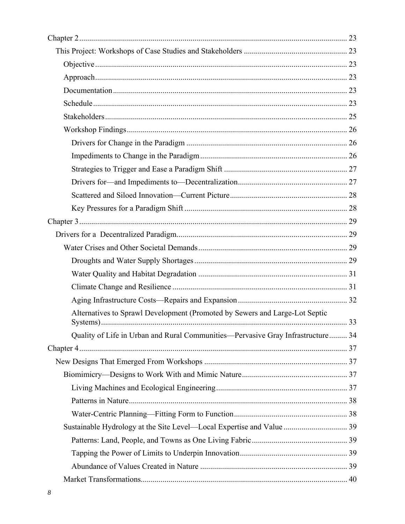| Alternatives to Sprawl Development (Promoted by Sewers and Large-Lot Septic     |  |
|---------------------------------------------------------------------------------|--|
| Quality of Life in Urban and Rural Communities—Pervasive Gray Infrastructure 34 |  |
|                                                                                 |  |
|                                                                                 |  |
|                                                                                 |  |
|                                                                                 |  |
|                                                                                 |  |
|                                                                                 |  |
| Sustainable Hydrology at the Site Level-Local Expertise and Value  39           |  |
|                                                                                 |  |
|                                                                                 |  |
|                                                                                 |  |
|                                                                                 |  |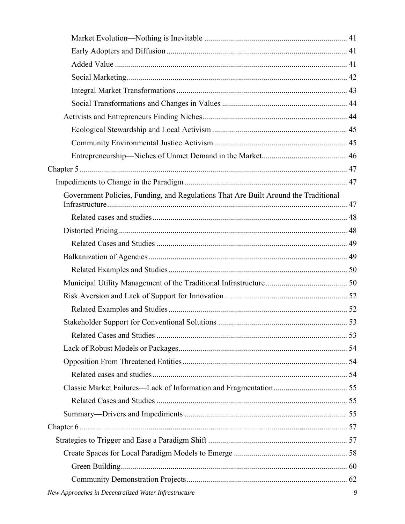| Government Policies, Funding, and Regulations That Are Built Around the Traditional                                                                                                                                                                                                                               |  |
|-------------------------------------------------------------------------------------------------------------------------------------------------------------------------------------------------------------------------------------------------------------------------------------------------------------------|--|
|                                                                                                                                                                                                                                                                                                                   |  |
|                                                                                                                                                                                                                                                                                                                   |  |
|                                                                                                                                                                                                                                                                                                                   |  |
|                                                                                                                                                                                                                                                                                                                   |  |
|                                                                                                                                                                                                                                                                                                                   |  |
|                                                                                                                                                                                                                                                                                                                   |  |
|                                                                                                                                                                                                                                                                                                                   |  |
|                                                                                                                                                                                                                                                                                                                   |  |
|                                                                                                                                                                                                                                                                                                                   |  |
|                                                                                                                                                                                                                                                                                                                   |  |
|                                                                                                                                                                                                                                                                                                                   |  |
|                                                                                                                                                                                                                                                                                                                   |  |
|                                                                                                                                                                                                                                                                                                                   |  |
|                                                                                                                                                                                                                                                                                                                   |  |
|                                                                                                                                                                                                                                                                                                                   |  |
|                                                                                                                                                                                                                                                                                                                   |  |
|                                                                                                                                                                                                                                                                                                                   |  |
|                                                                                                                                                                                                                                                                                                                   |  |
|                                                                                                                                                                                                                                                                                                                   |  |
|                                                                                                                                                                                                                                                                                                                   |  |
|                                                                                                                                                                                                                                                                                                                   |  |
| $\mathcal{L}$ and $\mathcal{L}$ and $\mathcal{L}$ and $\mathcal{L}$ and $\mathcal{L}$ and $\mathcal{L}$ and $\mathcal{L}$ and $\mathcal{L}$ and $\mathcal{L}$ and $\mathcal{L}$ and $\mathcal{L}$ and $\mathcal{L}$ and $\mathcal{L}$ and $\mathcal{L}$ and $\mathcal{L}$ and $\mathcal{L}$ and $\mathcal{L}$ and |  |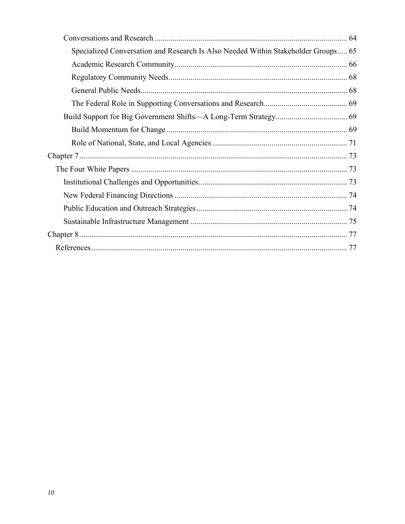| Specialized Conversation and Research Is Also Needed Within Stakeholder Groups 65 |  |
|-----------------------------------------------------------------------------------|--|
|                                                                                   |  |
|                                                                                   |  |
|                                                                                   |  |
|                                                                                   |  |
|                                                                                   |  |
|                                                                                   |  |
|                                                                                   |  |
|                                                                                   |  |
|                                                                                   |  |
|                                                                                   |  |
|                                                                                   |  |
|                                                                                   |  |
|                                                                                   |  |
|                                                                                   |  |
|                                                                                   |  |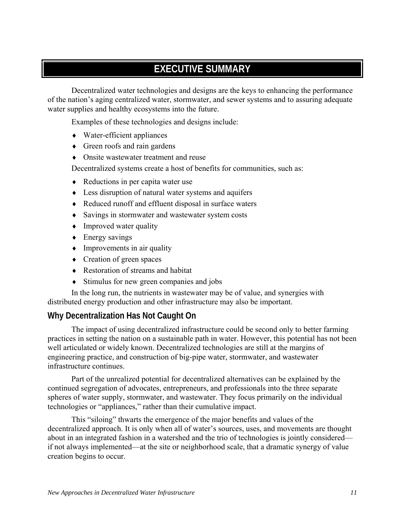# <span id="page-10-0"></span>**EXECUTIVE SUMMARY**

Decentralized water technologies and designs are the keys to enhancing the performance of the nation's aging centralized water, stormwater, and sewer systems and to assuring adequate water supplies and healthy ecosystems into the future.

Examples of these technologies and designs include:

- ♦ Water-efficient appliances
- ♦ Green roofs and rain gardens
- ♦ Onsite wastewater treatment and reuse

Decentralized systems create a host of benefits for communities, such as:

- ♦ Reductions in per capita water use
- ♦ Less disruption of natural water systems and aquifers
- ♦ Reduced runoff and effluent disposal in surface waters
- ♦ Savings in stormwater and wastewater system costs
- Improved water quality
- $\leftarrow$  Energy savings
- $\bullet$  Improvements in air quality
- ♦ Creation of green spaces
- ♦ Restoration of streams and habitat
- ♦ Stimulus for new green companies and jobs

In the long run, the nutrients in wastewater may be of value, and synergies with distributed energy production and other infrastructure may also be important.

# <span id="page-10-1"></span>**Why Decentralization Has Not Caught On**

The impact of using decentralized infrastructure could be second only to better farming practices in setting the nation on a sustainable path in water. However, this potential has not been well articulated or widely known. Decentralized technologies are still at the margins of engineering practice, and construction of big-pipe water, stormwater, and wastewater infrastructure continues.

Part of the unrealized potential for decentralized alternatives can be explained by the continued segregation of advocates, entrepreneurs, and professionals into the three separate spheres of water supply, stormwater, and wastewater. They focus primarily on the individual technologies or "appliances," rather than their cumulative impact.

This "siloing" thwarts the emergence of the major benefits and values of the decentralized approach. It is only when all of water's sources, uses, and movements are thought about in an integrated fashion in a watershed and the trio of technologies is jointly considered if not always implemented—at the site or neighborhood scale, that a dramatic synergy of value creation begins to occur.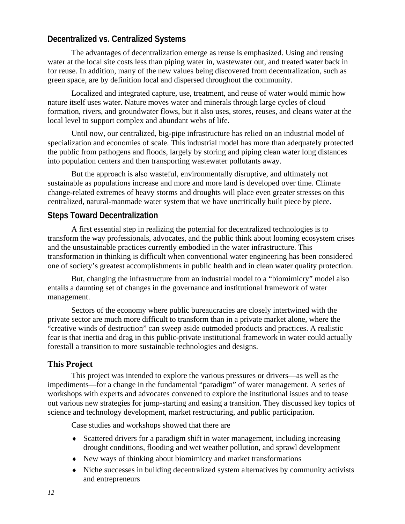# <span id="page-11-0"></span>**Decentralized vs. Centralized Systems**

The advantages of decentralization emerge as reuse is emphasized. Using and reusing water at the local site costs less than piping water in, wastewater out, and treated water back in for reuse. In addition, many of the new values being discovered from decentralization, such as green space, are by definition local and dispersed throughout the community.

Localized and integrated capture, use, treatment, and reuse of water would mimic how nature itself uses water. Nature moves water and minerals through large cycles of cloud formation, rivers, and groundwater flows, but it also uses, stores, reuses, and cleans water at the local level to support complex and abundant webs of life.

Until now, our centralized, big-pipe infrastructure has relied on an industrial model of specialization and economies of scale. This industrial model has more than adequately protected the public from pathogens and floods, largely by storing and piping clean water long distances into population centers and then transporting wastewater pollutants away.

But the approach is also wasteful, environmentally disruptive, and ultimately not sustainable as populations increase and more and more land is developed over time. Climate change-related extremes of heavy storms and droughts will place even greater stresses on this centralized, natural-manmade water system that we have uncritically built piece by piece.

# <span id="page-11-1"></span>**Steps Toward Decentralization**

A first essential step in realizing the potential for decentralized technologies is to transform the way professionals, advocates, and the public think about looming ecosystem crises and the unsustainable practices currently embodied in the water infrastructure. This transformation in thinking is difficult when conventional water engineering has been considered one of society's greatest accomplishments in public health and in clean water quality protection.

But, changing the infrastructure from an industrial model to a "biomimicry" model also entails a daunting set of changes in the governance and institutional framework of water management.

Sectors of the economy where public bureaucracies are closely intertwined with the private sector are much more difficult to transform than in a private market alone, where the "creative winds of destruction" can sweep aside outmoded products and practices. A realistic fear is that inertia and drag in this public-private institutional framework in water could actually forestall a transition to more sustainable technologies and designs.

# <span id="page-11-2"></span>**This Project**

This project was intended to explore the various pressures or drivers—as well as the impediments—for a change in the fundamental "paradigm" of water management. A series of workshops with experts and advocates convened to explore the institutional issues and to tease out various new strategies for jump-starting and easing a transition. They discussed key topics of science and technology development, market restructuring, and public participation.

Case studies and workshops showed that there are

- ♦ Scattered drivers for a paradigm shift in water management, including increasing drought conditions, flooding and wet weather pollution, and sprawl development
- ♦ New ways of thinking about biomimicry and market transformations
- ♦ Niche successes in building decentralized system alternatives by community activists and entrepreneurs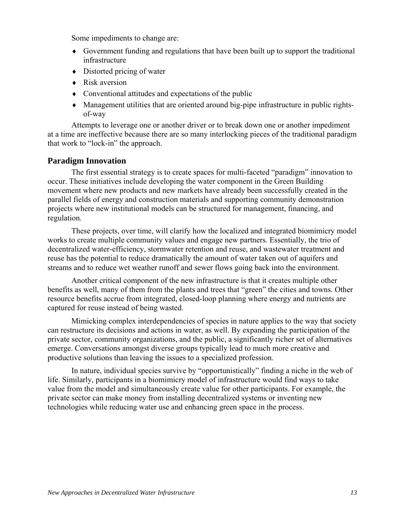Some impediments to change are:

- ♦ Government funding and regulations that have been built up to support the traditional infrastructure
- $\bullet$  Distorted pricing of water
- ♦ Risk aversion
- ♦ Conventional attitudes and expectations of the public
- ♦ Management utilities that are oriented around big-pipe infrastructure in public rightsof-way

Attempts to leverage one or another driver or to break down one or another impediment at a time are ineffective because there are so many interlocking pieces of the traditional paradigm that work to "lock-in" the approach.

# <span id="page-12-0"></span>**Paradigm Innovation**

The first essential strategy is to create spaces for multi-faceted "paradigm" innovation to occur. These initiatives include developing the water component in the Green Building movement where new products and new markets have already been successfully created in the parallel fields of energy and construction materials and supporting community demonstration projects where new institutional models can be structured for management, financing, and regulation.

These projects, over time, will clarify how the localized and integrated biomimicry model works to create multiple community values and engage new partners. Essentially, the trio of decentralized water-efficiency, stormwater retention and reuse, and wastewater treatment and reuse has the potential to reduce dramatically the amount of water taken out of aquifers and streams and to reduce wet weather runoff and sewer flows going back into the environment.

Another critical component of the new infrastructure is that it creates multiple other benefits as well, many of them from the plants and trees that "green" the cities and towns. Other resource benefits accrue from integrated, closed-loop planning where energy and nutrients are captured for reuse instead of being wasted.

Mimicking complex interdependencies of species in nature applies to the way that society can restructure its decisions and actions in water, as well. By expanding the participation of the private sector, community organizations, and the public, a significantly richer set of alternatives emerge. Conversations amongst diverse groups typically lead to much more creative and productive solutions than leaving the issues to a specialized profession.

In nature, individual species survive by "opportunistically" finding a niche in the web of life. Similarly, participants in a biomimicry model of infrastructure would find ways to take value from the model and simultaneously create value for other participants. For example, the private sector can make money from installing decentralized systems or inventing new technologies while reducing water use and enhancing green space in the process.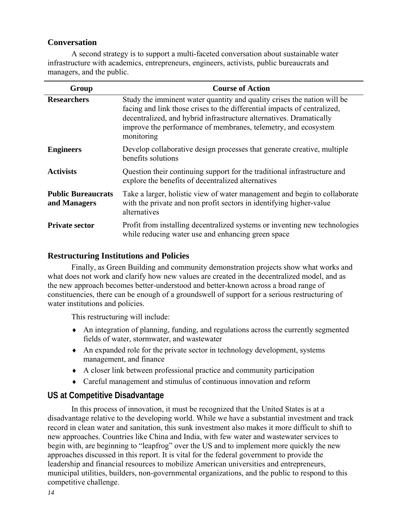# <span id="page-13-0"></span>**Conversation**

A second strategy is to support a multi-faceted conversation about sustainable water infrastructure with academics, entrepreneurs, engineers, activists, public bureaucrats and managers, and the public.

| Group                                     | <b>Course of Action</b>                                                                                                                                                                                                                                                                                    |
|-------------------------------------------|------------------------------------------------------------------------------------------------------------------------------------------------------------------------------------------------------------------------------------------------------------------------------------------------------------|
| <b>Researchers</b>                        | Study the imminent water quantity and quality crises the nation will be<br>facing and link those crises to the differential impacts of centralized,<br>decentralized, and hybrid infrastructure alternatives. Dramatically<br>improve the performance of membranes, telemetry, and ecosystem<br>monitoring |
| <b>Engineers</b>                          | Develop collaborative design processes that generate creative, multiple<br>benefits solutions                                                                                                                                                                                                              |
| <b>Activists</b>                          | Question their continuing support for the traditional infrastructure and<br>explore the benefits of decentralized alternatives                                                                                                                                                                             |
| <b>Public Bureaucrats</b><br>and Managers | Take a larger, holistic view of water management and begin to collaborate<br>with the private and non profit sectors in identifying higher-value<br>alternatives                                                                                                                                           |
| <b>Private sector</b>                     | Profit from installing decentralized systems or inventing new technologies<br>while reducing water use and enhancing green space                                                                                                                                                                           |

# <span id="page-13-1"></span>**Restructuring Institutions and Policies**

Finally, as Green Building and community demonstration projects show what works and what does not work and clarify how new values are created in the decentralized model, and as the new approach becomes better-understood and better-known across a broad range of constituencies, there can be enough of a groundswell of support for a serious restructuring of water institutions and policies.

This restructuring will include:

- ♦ An integration of planning, funding, and regulations across the currently segmented fields of water, stormwater, and wastewater
- ♦ An expanded role for the private sector in technology development, systems management, and finance
- ♦ A closer link between professional practice and community participation
- ♦ Careful management and stimulus of continuous innovation and reform

# <span id="page-13-2"></span>**US at Competitive Disadvantage**

In this process of innovation, it must be recognized that the United States is at a disadvantage relative to the developing world. While we have a substantial investment and track record in clean water and sanitation, this sunk investment also makes it more difficult to shift to new approaches. Countries like China and India, with few water and wastewater services to begin with, are beginning to "leapfrog" over the US and to implement more quickly the new approaches discussed in this report. It is vital for the federal government to provide the leadership and financial resources to mobilize American universities and entrepreneurs, municipal utilities, builders, non-governmental organizations, and the public to respond to this competitive challenge.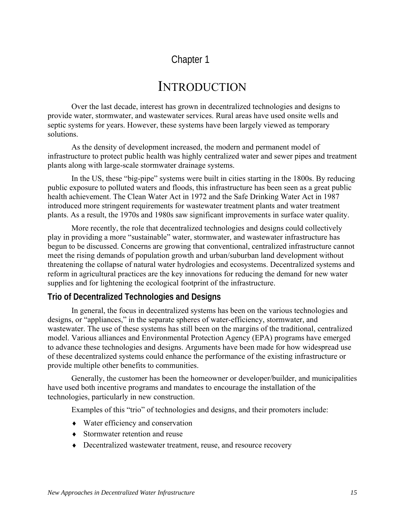# <span id="page-14-0"></span>Chapter 1

# <span id="page-14-1"></span>**INTRODUCTION**

Over the last decade, interest has grown in decentralized technologies and designs to provide water, stormwater, and wastewater services. Rural areas have used onsite wells and septic systems for years. However, these systems have been largely viewed as temporary solutions.

As the density of development increased, the modern and permanent model of infrastructure to protect public health was highly centralized water and sewer pipes and treatment plants along with large-scale stormwater drainage systems.

In the US, these "big-pipe" systems were built in cities starting in the 1800s. By reducing public exposure to polluted waters and floods, this infrastructure has been seen as a great public health achievement. The Clean Water Act in 1972 and the Safe Drinking Water Act in 1987 introduced more stringent requirements for wastewater treatment plants and water treatment plants. As a result, the 1970s and 1980s saw significant improvements in surface water quality.

More recently, the role that decentralized technologies and designs could collectively play in providing a more "sustainable" water, stormwater, and wastewater infrastructure has begun to be discussed. Concerns are growing that conventional, centralized infrastructure cannot meet the rising demands of population growth and urban/suburban land development without threatening the collapse of natural water hydrologies and ecosystems. Decentralized systems and reform in agricultural practices are the key innovations for reducing the demand for new water supplies and for lightening the ecological footprint of the infrastructure.

# <span id="page-14-2"></span>**Trio of Decentralized Technologies and Designs**

In general, the focus in decentralized systems has been on the various technologies and designs, or "appliances," in the separate spheres of water-efficiency, stormwater, and wastewater. The use of these systems has still been on the margins of the traditional, centralized model. Various alliances and Environmental Protection Agency (EPA) programs have emerged to advance these technologies and designs. Arguments have been made for how widespread use of these decentralized systems could enhance the performance of the existing infrastructure or provide multiple other benefits to communities.

Generally, the customer has been the homeowner or developer/builder, and municipalities have used both incentive programs and mandates to encourage the installation of the technologies, particularly in new construction.

Examples of this "trio" of technologies and designs, and their promoters include:

- ♦ Water efficiency and conservation
- ♦ Stormwater retention and reuse
- ♦ Decentralized wastewater treatment, reuse, and resource recovery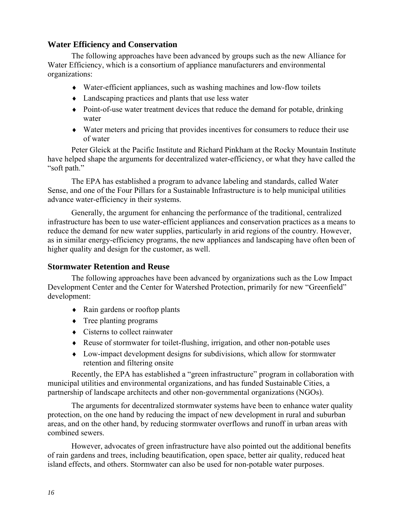# <span id="page-15-0"></span>**Water Efficiency and Conservation**

The following approaches have been advanced by groups such as the new Alliance for Water Efficiency, which is a consortium of appliance manufacturers and environmental organizations:

- ♦ Water-efficient appliances, such as washing machines and low-flow toilets
- ♦ Landscaping practices and plants that use less water
- ♦ Point-of-use water treatment devices that reduce the demand for potable, drinking water
- ♦ Water meters and pricing that provides incentives for consumers to reduce their use of water

Peter Gleick at the Pacific Institute and Richard Pinkham at the Rocky Mountain Institute have helped shape the arguments for decentralized water-efficiency, or what they have called the "soft path."

The EPA has established a program to advance labeling and standards, called Water Sense, and one of the Four Pillars for a Sustainable Infrastructure is to help municipal utilities advance water-efficiency in their systems.

Generally, the argument for enhancing the performance of the traditional, centralized infrastructure has been to use water-efficient appliances and conservation practices as a means to reduce the demand for new water supplies, particularly in arid regions of the country. However, as in similar energy-efficiency programs, the new appliances and landscaping have often been of higher quality and design for the customer, as well.

# <span id="page-15-1"></span>**Stormwater Retention and Reuse**

The following approaches have been advanced by organizations such as the Low Impact Development Center and the Center for Watershed Protection, primarily for new "Greenfield" development:

- ♦ Rain gardens or rooftop plants
- $\triangle$  Tree planting programs
- ♦ Cisterns to collect rainwater
- ♦ Reuse of stormwater for toilet-flushing, irrigation, and other non-potable uses
- ♦ Low-impact development designs for subdivisions, which allow for stormwater retention and filtering onsite

Recently, the EPA has established a "green infrastructure" program in collaboration with municipal utilities and environmental organizations, and has funded Sustainable Cities, a partnership of landscape architects and other non-governmental organizations (NGOs).

The arguments for decentralized stormwater systems have been to enhance water quality protection, on the one hand by reducing the impact of new development in rural and suburban areas, and on the other hand, by reducing stormwater overflows and runoff in urban areas with combined sewers.

However, advocates of green infrastructure have also pointed out the additional benefits of rain gardens and trees, including beautification, open space, better air quality, reduced heat island effects, and others. Stormwater can also be used for non-potable water purposes.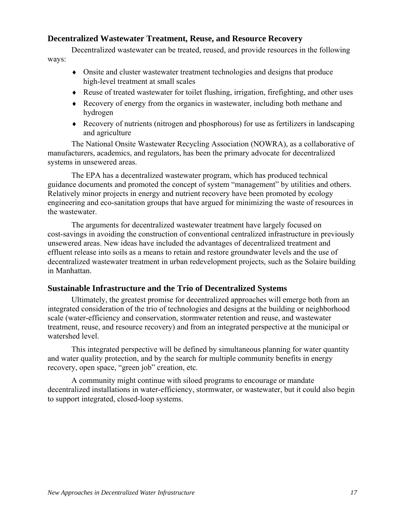# <span id="page-16-0"></span>**Decentralized Wastewater Treatment, Reuse, and Resource Recovery**

Decentralized wastewater can be treated, reused, and provide resources in the following ways:

- ♦ Onsite and cluster wastewater treatment technologies and designs that produce high-level treatment at small scales
- ♦ Reuse of treated wastewater for toilet flushing, irrigation, firefighting, and other uses
- ♦ Recovery of energy from the organics in wastewater, including both methane and hydrogen
- ♦ Recovery of nutrients (nitrogen and phosphorous) for use as fertilizers in landscaping and agriculture

The National Onsite Wastewater Recycling Association (NOWRA), as a collaborative of manufacturers, academics, and regulators, has been the primary advocate for decentralized systems in unsewered areas.

The EPA has a decentralized wastewater program, which has produced technical guidance documents and promoted the concept of system "management" by utilities and others. Relatively minor projects in energy and nutrient recovery have been promoted by ecology engineering and eco-sanitation groups that have argued for minimizing the waste of resources in the wastewater.

The arguments for decentralized wastewater treatment have largely focused on cost-savings in avoiding the construction of conventional centralized infrastructure in previously unsewered areas. New ideas have included the advantages of decentralized treatment and effluent release into soils as a means to retain and restore groundwater levels and the use of decentralized wastewater treatment in urban redevelopment projects, such as the Solaire building in Manhattan.

# <span id="page-16-1"></span>**Sustainable Infrastructure and the Trio of Decentralized Systems**

Ultimately, the greatest promise for decentralized approaches will emerge both from an integrated consideration of the trio of technologies and designs at the building or neighborhood scale (water-efficiency and conservation, stormwater retention and reuse, and wastewater treatment, reuse, and resource recovery) and from an integrated perspective at the municipal or watershed level.

This integrated perspective will be defined by simultaneous planning for water quantity and water quality protection, and by the search for multiple community benefits in energy recovery, open space, "green job" creation, etc.

A community might continue with siloed programs to encourage or mandate decentralized installations in water-efficiency, stormwater, or wastewater, but it could also begin to support integrated, closed-loop systems.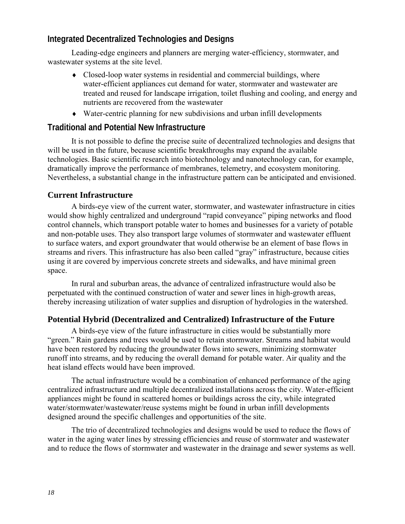# <span id="page-17-0"></span>**Integrated Decentralized Technologies and Designs**

Leading-edge engineers and planners are merging water-efficiency, stormwater, and wastewater systems at the site level.

- Closed-loop water systems in residential and commercial buildings, where water-efficient appliances cut demand for water, stormwater and wastewater are treated and reused for landscape irrigation, toilet flushing and cooling, and energy and nutrients are recovered from the wastewater
- ♦ Water-centric planning for new subdivisions and urban infill developments

# <span id="page-17-1"></span>**Traditional and Potential New Infrastructure**

It is not possible to define the precise suite of decentralized technologies and designs that will be used in the future, because scientific breakthroughs may expand the available technologies. Basic scientific research into biotechnology and nanotechnology can, for example, dramatically improve the performance of membranes, telemetry, and ecosystem monitoring. Nevertheless, a substantial change in the infrastructure pattern can be anticipated and envisioned.

# <span id="page-17-2"></span>**Current Infrastructure**

A birds-eye view of the current water, stormwater, and wastewater infrastructure in cities would show highly centralized and underground "rapid conveyance" piping networks and flood control channels, which transport potable water to homes and businesses for a variety of potable and non-potable uses. They also transport large volumes of stormwater and wastewater effluent to surface waters, and export groundwater that would otherwise be an element of base flows in streams and rivers. This infrastructure has also been called "gray" infrastructure, because cities using it are covered by impervious concrete streets and sidewalks, and have minimal green space.

In rural and suburban areas, the advance of centralized infrastructure would also be perpetuated with the continued construction of water and sewer lines in high-growth areas, thereby increasing utilization of water supplies and disruption of hydrologies in the watershed.

# <span id="page-17-3"></span>**Potential Hybrid (Decentralized and Centralized) Infrastructure of the Future**

A birds-eye view of the future infrastructure in cities would be substantially more "green." Rain gardens and trees would be used to retain stormwater. Streams and habitat would have been restored by reducing the groundwater flows into sewers, minimizing stormwater runoff into streams, and by reducing the overall demand for potable water. Air quality and the heat island effects would have been improved.

The actual infrastructure would be a combination of enhanced performance of the aging centralized infrastructure and multiple decentralized installations across the city. Water-efficient appliances might be found in scattered homes or buildings across the city, while integrated water/stormwater/wastewater/reuse systems might be found in urban infill developments designed around the specific challenges and opportunities of the site.

The trio of decentralized technologies and designs would be used to reduce the flows of water in the aging water lines by stressing efficiencies and reuse of stormwater and wastewater and to reduce the flows of stormwater and wastewater in the drainage and sewer systems as well.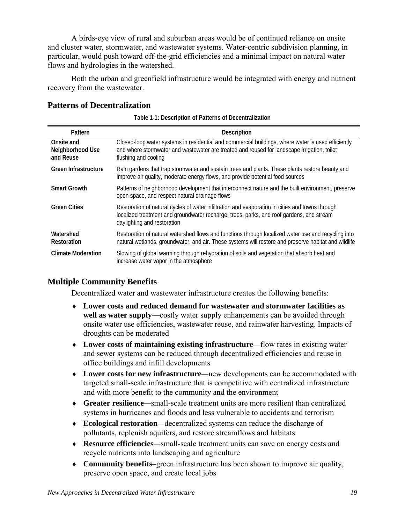A birds-eye view of rural and suburban areas would be of continued reliance on onsite and cluster water, stormwater, and wastewater systems. Water-centric subdivision planning, in particular, would push toward off-the-grid efficiencies and a minimal impact on natural water flows and hydrologies in the watershed.

Both the urban and greenfield infrastructure would be integrated with energy and nutrient recovery from the wastewater.

### <span id="page-18-0"></span>**Patterns of Decentralization**

|  | Table 1-1: Description of Patterns of Decentralization |
|--|--------------------------------------------------------|
|--|--------------------------------------------------------|

| Pattern                                     | Description                                                                                                                                                                                                                |
|---------------------------------------------|----------------------------------------------------------------------------------------------------------------------------------------------------------------------------------------------------------------------------|
| Onsite and<br>Neighborhood Use<br>and Reuse | Closed-loop water systems in residential and commercial buildings, where water is used efficiently<br>and where stormwater and wastewater are treated and reused for landscape irrigation, toilet<br>flushing and cooling  |
| Green Infrastructure                        | Rain gardens that trap stormwater and sustain trees and plants. These plants restore beauty and<br>improve air quality, moderate energy flows, and provide potential food sources                                          |
| <b>Smart Growth</b>                         | Patterns of neighborhood development that interconnect nature and the built environment, preserve<br>open space, and respect natural drainage flows                                                                        |
| <b>Green Cities</b>                         | Restoration of natural cycles of water infiltration and evaporation in cities and towns through<br>localized treatment and groundwater recharge, trees, parks, and roof gardens, and stream<br>daylighting and restoration |
| Watershed<br><b>Restoration</b>             | Restoration of natural watershed flows and functions through localized water use and recycling into<br>natural wetlands, groundwater, and air. These systems will restore and preserve habitat and wildlife                |
| <b>Climate Moderation</b>                   | Slowing of global warming through rehydration of soils and vegetation that absorb heat and<br>increase water vapor in the atmosphere                                                                                       |

# <span id="page-18-1"></span>**Multiple Community Benefits**

Decentralized water and wastewater infrastructure creates the following benefits:

- ♦ **Lower costs and reduced demand for wastewater and stormwater facilities as well as water supply**—costly water supply enhancements can be avoided through onsite water use efficiencies, wastewater reuse, and rainwater harvesting. Impacts of droughts can be moderated
- ♦ **Lower costs of maintaining existing infrastructure***—*flow rates in existing water and sewer systems can be reduced through decentralized efficiencies and reuse in office buildings and infill developments
- ♦ **Lower costs for new infrastructure***—*new developments can be accommodated with targeted small-scale infrastructure that is competitive with centralized infrastructure and with more benefit to the community and the environment
- ♦ **Greater resilience***—*small-scale treatment units are more resilient than centralized systems in hurricanes and floods and less vulnerable to accidents and terrorism
- ♦ **Ecological restoration***—*decentralized systems can reduce the discharge of pollutants, replenish aquifers, and restore streamflows and habitats
- ♦ **Resource efficiencies***—*small-scale treatment units can save on energy costs and recycle nutrients into landscaping and agriculture
- ♦ **Community benefits***–*green infrastructure has been shown to improve air quality, preserve open space, and create local jobs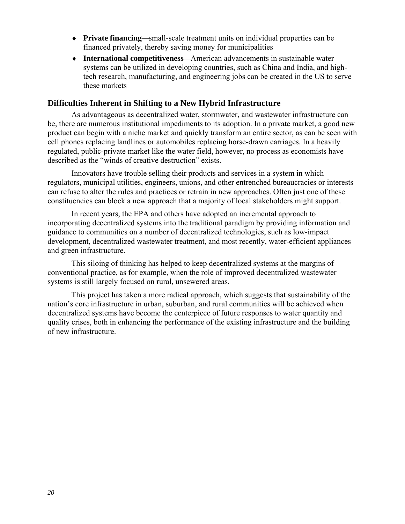- ♦ **Private financing***—*small-scale treatment units on individual properties can be financed privately, thereby saving money for municipalities
- ♦ **International competitiveness***—*American advancements in sustainable water systems can be utilized in developing countries, such as China and India, and hightech research, manufacturing, and engineering jobs can be created in the US to serve these markets

#### <span id="page-19-0"></span>**Difficulties Inherent in Shifting to a New Hybrid Infrastructure**

As advantageous as decentralized water, stormwater, and wastewater infrastructure can be, there are numerous institutional impediments to its adoption. In a private market, a good new product can begin with a niche market and quickly transform an entire sector, as can be seen with cell phones replacing landlines or automobiles replacing horse-drawn carriages. In a heavily regulated, public-private market like the water field, however, no process as economists have described as the "winds of creative destruction" exists.

Innovators have trouble selling their products and services in a system in which regulators, municipal utilities, engineers, unions, and other entrenched bureaucracies or interests can refuse to alter the rules and practices or retrain in new approaches. Often just one of these constituencies can block a new approach that a majority of local stakeholders might support.

In recent years, the EPA and others have adopted an incremental approach to incorporating decentralized systems into the traditional paradigm by providing information and guidance to communities on a number of decentralized technologies, such as low-impact development, decentralized wastewater treatment, and most recently, water-efficient appliances and green infrastructure.

This siloing of thinking has helped to keep decentralized systems at the margins of conventional practice, as for example, when the role of improved decentralized wastewater systems is still largely focused on rural, unsewered areas.

This project has taken a more radical approach, which suggests that sustainability of the nation's core infrastructure in urban, suburban, and rural communities will be achieved when decentralized systems have become the centerpiece of future responses to water quantity and quality crises, both in enhancing the performance of the existing infrastructure and the building of new infrastructure.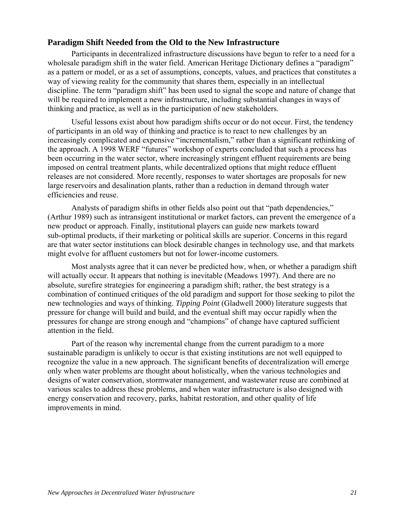#### <span id="page-20-0"></span>**Paradigm Shift Needed from the Old to the New Infrastructure**

Participants in decentralized infrastructure discussions have begun to refer to a need for a wholesale paradigm shift in the water field. American Heritage Dictionary defines a "paradigm" as a pattern or model, or as a set of assumptions, concepts, values, and practices that constitutes a way of viewing reality for the community that shares them, especially in an intellectual discipline. The term "paradigm shift" has been used to signal the scope and nature of change that will be required to implement a new infrastructure, including substantial changes in ways of thinking and practice, as well as in the participation of new stakeholders.

Useful lessons exist about how paradigm shifts occur or do not occur. First, the tendency of participants in an old way of thinking and practice is to react to new challenges by an increasingly complicated and expensive "incrementalism," rather than a significant rethinking of the approach. A 1998 WERF "futures" workshop of experts concluded that such a process has been occurring in the water sector, where increasingly stringent effluent requirements are being imposed on central treatment plants, while decentralized options that might reduce effluent releases are not considered. More recently, responses to water shortages are proposals for new large reservoirs and desalination plants, rather than a reduction in demand through water efficiencies and reuse.

Analysts of paradigm shifts in other fields also point out that "path dependencies," (Arthur 1989) such as intransigent institutional or market factors, can prevent the emergence of a new product or approach. Finally, institutional players can guide new markets toward sub-optimal products, if their marketing or political skills are superior. Concerns in this regard are that water sector institutions can block desirable changes in technology use, and that markets might evolve for affluent customers but not for lower-income customers.

Most analysts agree that it can never be predicted how, when, or whether a paradigm shift will actually occur. It appears that nothing is inevitable (Meadows 1997). And there are no absolute, surefire strategies for engineering a paradigm shift; rather, the best strategy is a combination of continued critiques of the old paradigm and support for those seeking to pilot the new technologies and ways of thinking. *Tipping Point* (Gladwell 2000) literature suggests that pressure for change will build and build, and the eventual shift may occur rapidly when the pressures for change are strong enough and "champions" of change have captured sufficient attention in the field.

Part of the reason why incremental change from the current paradigm to a more sustainable paradigm is unlikely to occur is that existing institutions are not well equipped to recognize the value in a new approach. The significant benefits of decentralization will emerge only when water problems are thought about holistically, when the various technologies and designs of water conservation, stormwater management, and wastewater reuse are combined at various scales to address these problems, and when water infrastructure is also designed with energy conservation and recovery, parks, habitat restoration, and other quality of life improvements in mind.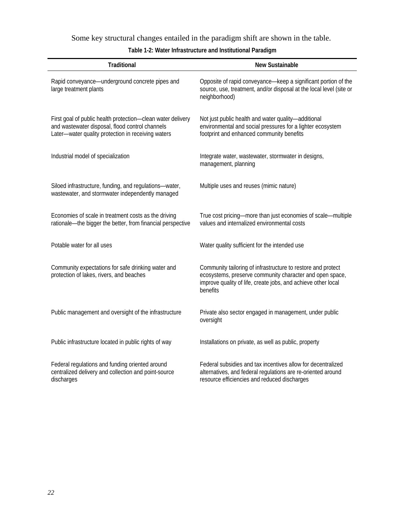Some key structural changes entailed in the paradigm shift are shown in the table.

| Table 1-2: Water Infrastructure and Institutional Paradigm |
|------------------------------------------------------------|
|------------------------------------------------------------|

| <b>Traditional</b>                                                                                                                                                   | New Sustainable                                                                                                                                                                                       |
|----------------------------------------------------------------------------------------------------------------------------------------------------------------------|-------------------------------------------------------------------------------------------------------------------------------------------------------------------------------------------------------|
| Rapid conveyance—underground concrete pipes and<br>large treatment plants                                                                                            | Opposite of rapid conveyance-keep a significant portion of the<br>source, use, treatment, and/or disposal at the local level (site or<br>neighborhood)                                                |
| First goal of public health protection-clean water delivery<br>and wastewater disposal, flood control channels<br>Later-water quality protection in receiving waters | Not just public health and water quality-additional<br>environmental and social pressures for a lighter ecosystem<br>footprint and enhanced community benefits                                        |
| Industrial model of specialization                                                                                                                                   | Integrate water, wastewater, stormwater in designs,<br>management, planning                                                                                                                           |
| Siloed infrastructure, funding, and regulations-water,<br>wastewater, and stormwater independently managed                                                           | Multiple uses and reuses (mimic nature)                                                                                                                                                               |
| Economies of scale in treatment costs as the driving<br>rationale-the bigger the better, from financial perspective                                                  | True cost pricing-more than just economies of scale-multiple<br>values and internalized environmental costs                                                                                           |
| Potable water for all uses                                                                                                                                           | Water quality sufficient for the intended use                                                                                                                                                         |
| Community expectations for safe drinking water and<br>protection of lakes, rivers, and beaches                                                                       | Community tailoring of infrastructure to restore and protect<br>ecosystems, preserve community character and open space,<br>improve quality of life, create jobs, and achieve other local<br>benefits |
| Public management and oversight of the infrastructure                                                                                                                | Private also sector engaged in management, under public<br>oversight                                                                                                                                  |
| Public infrastructure located in public rights of way                                                                                                                | Installations on private, as well as public, property                                                                                                                                                 |
| Federal regulations and funding oriented around<br>centralized delivery and collection and point-source<br>discharges                                                | Federal subsidies and tax incentives allow for decentralized<br>alternatives, and federal regulations are re-oriented around<br>resource efficiencies and reduced discharges                          |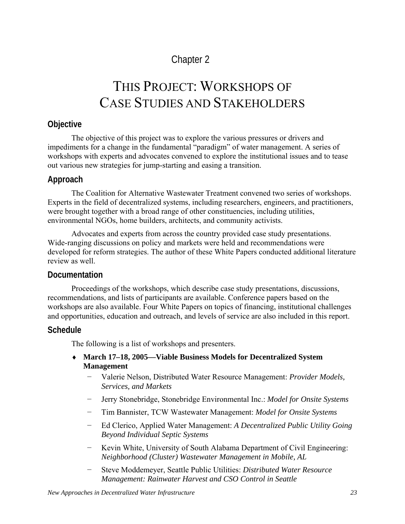# <span id="page-22-0"></span>Chapter 2

# <span id="page-22-1"></span>THIS PROJECT: WORKSHOPS OF CASE STUDIES AND STAKEHOLDERS

# <span id="page-22-2"></span>**Objective**

The objective of this project was to explore the various pressures or drivers and impediments for a change in the fundamental "paradigm" of water management. A series of workshops with experts and advocates convened to explore the institutional issues and to tease out various new strategies for jump-starting and easing a transition.

# <span id="page-22-3"></span>**Approach**

The Coalition for Alternative Wastewater Treatment convened two series of workshops. Experts in the field of decentralized systems, including researchers, engineers, and practitioners, were brought together with a broad range of other constituencies, including utilities, environmental NGOs, home builders, architects, and community activists.

Advocates and experts from across the country provided case study presentations. Wide-ranging discussions on policy and markets were held and recommendations were developed for reform strategies. The author of these White Papers conducted additional literature review as well.

# <span id="page-22-4"></span>**Documentation**

Proceedings of the workshops, which describe case study presentations, discussions, recommendations, and lists of participants are available. Conference papers based on the workshops are also available. Four White Papers on topics of financing, institutional challenges and opportunities, education and outreach, and levels of service are also included in this report.

# <span id="page-22-5"></span>**Schedule**

The following is a list of workshops and presenters.

# ♦ **March 17–18, 2005—Viable Business Models for Decentralized System Management**

- − Valerie Nelson, Distributed Water Resource Management: *Provider Models, Services, and Markets*
- − Jerry Stonebridge, Stonebridge Environmental Inc.: *Model for Onsite Systems*
- − Tim Bannister, TCW Wastewater Management: *Model for Onsite Systems*
- − Ed Clerico, Applied Water Management: *A Decentralized Public Utility Going Beyond Individual Septic Systems*
- − Kevin White, University of South Alabama Department of Civil Engineering: *Neighborhood (Cluster) Wastewater Management in Mobile, AL*
- − Steve Moddemeyer, Seattle Public Utilities: *Distributed Water Resource Management: Rainwater Harvest and CSO Control in Seattle*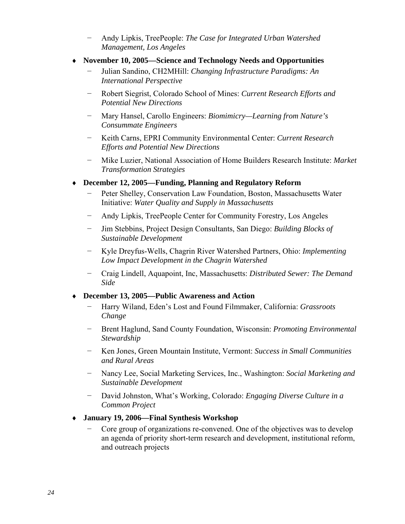- − Andy Lipkis, TreePeople: *The Case for Integrated Urban Watershed Management, Los Angeles*
- ♦ **November 10, 2005—Science and Technology Needs and Opportunities** 
	- − Julian Sandino, CH2MHill: *Changing Infrastructure Paradigms: An International Perspective*
	- − Robert Siegrist, Colorado School of Mines: *Current Research Efforts and Potential New Directions*
	- − Mary Hansel, Carollo Engineers: *Biomimicry—Learning from Nature's Consummate Engineers*
	- − Keith Carns, EPRI Community Environmental Center: *Current Research Efforts and Potential New Directions*
	- − Mike Luzier, National Association of Home Builders Research Institute: *Market Transformation Strategies*
- ♦ **December 12, 2005—Funding, Planning and Regulatory Reform** 
	- − Peter Shelley, Conservation Law Foundation, Boston, Massachusetts Water Initiative: *Water Quality and Supply in Massachusetts*
	- − Andy Lipkis, TreePeople Center for Community Forestry, Los Angeles
	- − Jim Stebbins, Project Design Consultants, San Diego: *Building Blocks of Sustainable Development*
	- − Kyle Dreyfus-Wells, Chagrin River Watershed Partners, Ohio: *Implementing Low Impact Development in the Chagrin Watershed*
	- − Craig Lindell, Aquapoint, Inc, Massachusetts: *Distributed Sewer: The Demand Side*

# ♦ **December 13, 2005—Public Awareness and Action**

- − Harry Wiland, Eden's Lost and Found Filmmaker, California: *Grassroots Change*
- − Brent Haglund, Sand County Foundation, Wisconsin: *Promoting Environmental Stewardship*
- − Ken Jones, Green Mountain Institute, Vermont: *Success in Small Communities and Rural Areas*
- − Nancy Lee, Social Marketing Services, Inc., Washington: *Social Marketing and Sustainable Development*
- − David Johnston, What's Working, Colorado: *Engaging Diverse Culture in a Common Project*
- ♦ **January 19, 2006—Final Synthesis Workshop** 
	- − Core group of organizations re-convened. One of the objectives was to develop an agenda of priority short-term research and development, institutional reform, and outreach projects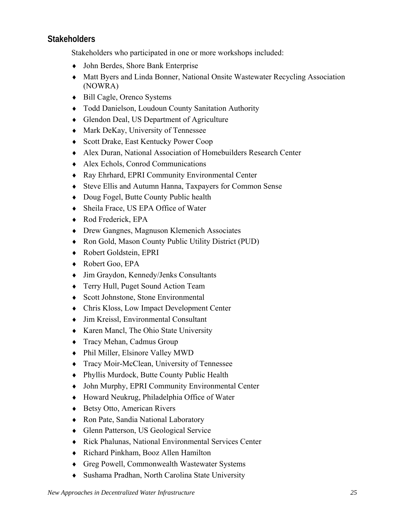# <span id="page-24-0"></span>**Stakeholders**

Stakeholders who participated in one or more workshops included:

- ♦ John Berdes, Shore Bank Enterprise
- ♦ Matt Byers and Linda Bonner, National Onsite Wastewater Recycling Association (NOWRA)
- ♦ Bill Cagle, Orenco Systems
- ♦ Todd Danielson, Loudoun County Sanitation Authority
- ♦ Glendon Deal, US Department of Agriculture
- ♦ Mark DeKay, University of Tennessee
- ♦ Scott Drake, East Kentucky Power Coop
- ♦ Alex Duran, National Association of Homebuilders Research Center
- ♦ Alex Echols, Conrod Communications
- ♦ Ray Ehrhard, EPRI Community Environmental Center
- ♦ Steve Ellis and Autumn Hanna, Taxpayers for Common Sense
- ♦ Doug Fogel, Butte County Public health
- ♦ Sheila Frace, US EPA Office of Water
- ♦ Rod Frederick, EPA
- ♦ Drew Gangnes, Magnuson Klemenich Associates
- ♦ Ron Gold, Mason County Public Utility District (PUD)
- ♦ Robert Goldstein, EPRI
- ♦ Robert Goo, EPA
- ♦ Jim Graydon, Kennedy/Jenks Consultants
- ♦ Terry Hull, Puget Sound Action Team
- ♦ Scott Johnstone, Stone Environmental
- ♦ Chris Kloss, Low Impact Development Center
- ♦ Jim Kreissl, Environmental Consultant
- ♦ Karen Mancl, The Ohio State University
- ♦ Tracy Mehan, Cadmus Group
- ♦ Phil Miller, Elsinore Valley MWD
- ♦ Tracy Moir-McClean, University of Tennessee
- ♦ Phyllis Murdock, Butte County Public Health
- ♦ John Murphy, EPRI Community Environmental Center
- ♦ Howard Neukrug, Philadelphia Office of Water
- ♦ Betsy Otto, American Rivers
- ♦ Ron Pate, Sandia National Laboratory
- ♦ Glenn Patterson, US Geological Service
- ♦ Rick Phalunas, National Environmental Services Center
- ♦ Richard Pinkham, Booz Allen Hamilton
- ♦ Greg Powell, Commonwealth Wastewater Systems
- ♦ Sushama Pradhan, North Carolina State University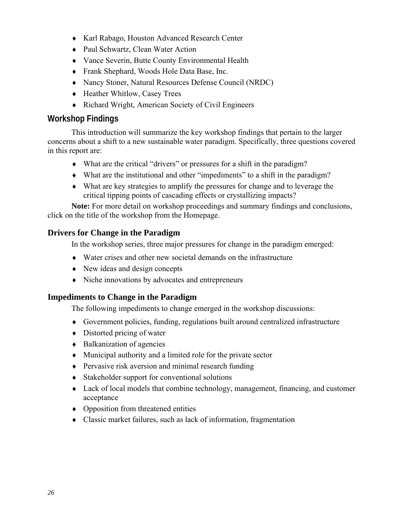- ♦ Karl Rabago, Houston Advanced Research Center
- ♦ Paul Schwartz, Clean Water Action
- ♦ Vance Severin, Butte County Environmental Health
- ♦ Frank Shephard, Woods Hole Data Base, Inc.
- ♦ Nancy Stoner, Natural Resources Defense Council (NRDC)
- ♦ Heather Whitlow, Casey Trees
- ♦ Richard Wright, American Society of Civil Engineers

# <span id="page-25-0"></span>**Workshop Findings**

This introduction will summarize the key workshop findings that pertain to the larger concerns about a shift to a new sustainable water paradigm. Specifically, three questions covered in this report are:

- ♦ What are the critical "drivers" or pressures for a shift in the paradigm?
- ♦ What are the institutional and other "impediments" to a shift in the paradigm?
- ♦ What are key strategies to amplify the pressures for change and to leverage the critical tipping points of cascading effects or crystallizing impacts?

**Note:** For more detail on workshop proceedings and summary findings and conclusions, click on the title of the workshop from the Homepage.

# <span id="page-25-1"></span>**Drivers for Change in the Paradigm**

In the workshop series, three major pressures for change in the paradigm emerged:

- ♦ Water crises and other new societal demands on the infrastructure
- New ideas and design concepts
- ♦ Niche innovations by advocates and entrepreneurs

# <span id="page-25-2"></span>**Impediments to Change in the Paradigm**

The following impediments to change emerged in the workshop discussions:

- ♦ Government policies, funding, regulations built around centralized infrastructure
- $\bullet$  Distorted pricing of water
- ♦ Balkanization of agencies
- ♦ Municipal authority and a limited role for the private sector
- ♦ Pervasive risk aversion and minimal research funding
- ♦ Stakeholder support for conventional solutions
- ♦ Lack of local models that combine technology, management, financing, and customer acceptance
- ♦ Opposition from threatened entities
- ♦ Classic market failures, such as lack of information, fragmentation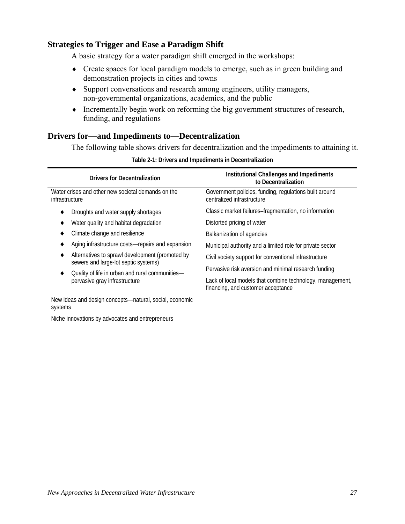# <span id="page-26-0"></span>**Strategies to Trigger and Ease a Paradigm Shift**

A basic strategy for a water paradigm shift emerged in the workshops:

- ♦ Create spaces for local paradigm models to emerge, such as in green building and demonstration projects in cities and towns
- ♦ Support conversations and research among engineers, utility managers, non-governmental organizations, academics, and the public
- ♦ Incrementally begin work on reforming the big government structures of research, funding, and regulations

# <span id="page-26-1"></span>**Drivers for—and Impediments to—Decentralization**

The following table shows drivers for decentralization and the impediments to attaining it.

| <b>Drivers for Decentralization</b>                                                     | Institutional Challenges and Impediments<br>to Decentralization                                 |
|-----------------------------------------------------------------------------------------|-------------------------------------------------------------------------------------------------|
| Water crises and other new societal demands on the<br>infrastructure                    | Government policies, funding, regulations built around<br>centralized infrastructure            |
| Droughts and water supply shortages                                                     | Classic market failures-fragmentation, no information                                           |
| Water quality and habitat degradation                                                   | Distorted pricing of water                                                                      |
| Climate change and resilience                                                           | Balkanization of agencies                                                                       |
| Aging infrastructure costs-repairs and expansion                                        | Municipal authority and a limited role for private sector                                       |
| Alternatives to sprawl development (promoted by<br>sewers and large-lot septic systems) | Civil society support for conventional infrastructure                                           |
| Quality of life in urban and rural communities-                                         | Pervasive risk aversion and minimal research funding                                            |
| pervasive gray infrastructure                                                           | Lack of local models that combine technology, management,<br>financing, and customer acceptance |
| New ideas and design concepts—natural, social, economic                                 |                                                                                                 |

**Table 2-1: Drivers and Impediments in Decentralization** 

systems

Niche innovations by advocates and entrepreneurs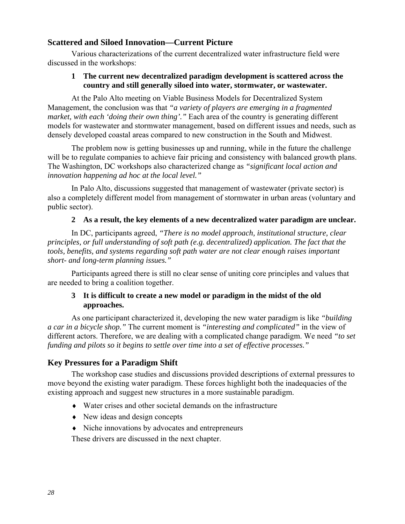# <span id="page-27-0"></span>**Scattered and Siloed Innovation—Current Picture**

Various characterizations of the current decentralized water infrastructure field were discussed in the workshops:

#### **1 The current new decentralized paradigm development is scattered across the country and still generally siloed into water, stormwater, or wastewater.**

At the Palo Alto meeting on Viable Business Models for Decentralized System Management, the conclusion was that *"a variety of players are emerging in a fragmented market, with each 'doing their own thing'."* Each area of the country is generating different models for wastewater and stormwater management, based on different issues and needs, such as densely developed coastal areas compared to new construction in the South and Midwest.

The problem now is getting businesses up and running, while in the future the challenge will be to regulate companies to achieve fair pricing and consistency with balanced growth plans. The Washington, DC workshops also characterized change as *"significant local action and innovation happening ad hoc at the local level."*

In Palo Alto, discussions suggested that management of wastewater (private sector) is also a completely different model from management of stormwater in urban areas (voluntary and public sector).

#### **2 As a result, the key elements of a new decentralized water paradigm are unclear.**

In DC, participants agreed, *"There is no model approach, institutional structure, clear principles, or full understanding of soft path (e.g. decentralized) application. The fact that the tools, benefits, and systems regarding soft path water are not clear enough raises important short- and long-term planning issues."* 

Participants agreed there is still no clear sense of uniting core principles and values that are needed to bring a coalition together.

#### **3 It is difficult to create a new model or paradigm in the midst of the old approaches.**

As one participant characterized it, developing the new water paradigm is like *"building a car in a bicycle shop."* The current moment is *"interesting and complicated"* in the view of different actors. Therefore, we are dealing with a complicated change paradigm. We need *"to set funding and pilots so it begins to settle over time into a set of effective processes."*

# <span id="page-27-1"></span>**Key Pressures for a Paradigm Shift**

The workshop case studies and discussions provided descriptions of external pressures to move beyond the existing water paradigm. These forces highlight both the inadequacies of the existing approach and suggest new structures in a more sustainable paradigm.

- ♦ Water crises and other societal demands on the infrastructure
- ♦ New ideas and design concepts
- ♦ Niche innovations by advocates and entrepreneurs

These drivers are discussed in the next chapter.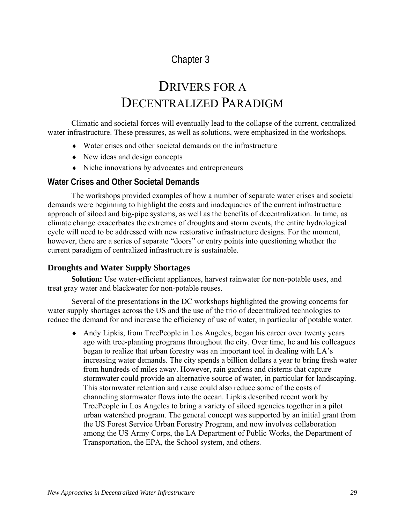# <span id="page-28-1"></span><span id="page-28-0"></span>Chapter 3

# DRIVERS FOR A DECENTRALIZED PARADIGM

Climatic and societal forces will eventually lead to the collapse of the current, centralized water infrastructure. These pressures, as well as solutions, were emphasized in the workshops.

- ♦ Water crises and other societal demands on the infrastructure
- ♦ New ideas and design concepts
- ♦ Niche innovations by advocates and entrepreneurs

# <span id="page-28-2"></span>**Water Crises and Other Societal Demands**

The workshops provided examples of how a number of separate water crises and societal demands were beginning to highlight the costs and inadequacies of the current infrastructure approach of siloed and big-pipe systems, as well as the benefits of decentralization. In time, as climate change exacerbates the extremes of droughts and storm events, the entire hydrological cycle will need to be addressed with new restorative infrastructure designs. For the moment, however, there are a series of separate "doors" or entry points into questioning whether the current paradigm of centralized infrastructure is sustainable.

# <span id="page-28-3"></span>**Droughts and Water Supply Shortages**

**Solution:** Use water-efficient appliances, harvest rainwater for non-potable uses, and treat gray water and blackwater for non-potable reuses.

Several of the presentations in the DC workshops highlighted the growing concerns for water supply shortages across the US and the use of the trio of decentralized technologies to reduce the demand for and increase the efficiency of use of water, in particular of potable water.

♦ Andy Lipkis, from TreePeople in Los Angeles, began his career over twenty years ago with tree-planting programs throughout the city. Over time, he and his colleagues began to realize that urban forestry was an important tool in dealing with LA's increasing water demands. The city spends a billion dollars a year to bring fresh water from hundreds of miles away. However, rain gardens and cisterns that capture stormwater could provide an alternative source of water, in particular for landscaping. This stormwater retention and reuse could also reduce some of the costs of channeling stormwater flows into the ocean. Lipkis described recent work by TreePeople in Los Angeles to bring a variety of siloed agencies together in a pilot urban watershed program. The general concept was supported by an initial grant from the US Forest Service Urban Forestry Program, and now involves collaboration among the US Army Corps, the LA Department of Public Works, the Department of Transportation, the EPA, the School system, and others.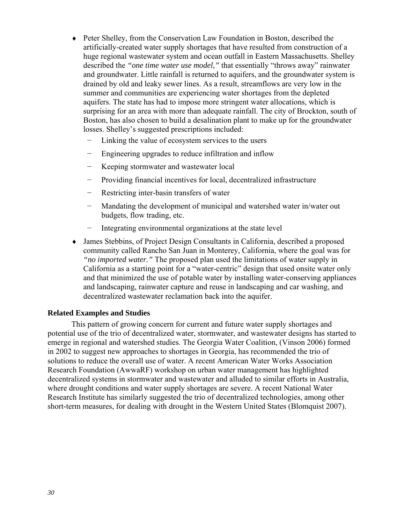- ♦ Peter Shelley, from the Conservation Law Foundation in Boston, described the artificially-created water supply shortages that have resulted from construction of a huge regional wastewater system and ocean outfall in Eastern Massachusetts. Shelley described the *"one time water use model,"* that essentially "throws away" rainwater and groundwater. Little rainfall is returned to aquifers, and the groundwater system is drained by old and leaky sewer lines. As a result, streamflows are very low in the summer and communities are experiencing water shortages from the depleted aquifers. The state has had to impose more stringent water allocations, which is surprising for an area with more than adequate rainfall. The city of Brockton, south of Boston, has also chosen to build a desalination plant to make up for the groundwater losses. Shelley's suggested prescriptions included:
	- Linking the value of ecosystem services to the users
	- − Engineering upgrades to reduce infiltration and inflow
	- − Keeping stormwater and wastewater local
	- − Providing financial incentives for local, decentralized infrastructure
	- − Restricting inter-basin transfers of water
	- Mandating the development of municipal and watershed water in/water out budgets, flow trading, etc.
	- − Integrating environmental organizations at the state level
- ♦ James Stebbins, of Project Design Consultants in California, described a proposed community called Rancho San Juan in Monterey, California, where the goal was for *"no imported water."* The proposed plan used the limitations of water supply in California as a starting point for a "water-centric" design that used onsite water only and that minimized the use of potable water by installing water-conserving appliances and landscaping, rainwater capture and reuse in landscaping and car washing, and decentralized wastewater reclamation back into the aquifer.

#### **Related Examples and Studies**

This pattern of growing concern for current and future water supply shortages and potential use of the trio of decentralized water, stormwater, and wastewater designs has started to emerge in regional and watershed studies. The Georgia Water Coalition, (Vinson 2006) formed in 2002 to suggest new approaches to shortages in Georgia, has recommended the trio of solutions to reduce the overall use of water. A recent American Water Works Association Research Foundation (AwwaRF) workshop on urban water management has highlighted decentralized systems in stormwater and wastewater and alluded to similar efforts in Australia, where drought conditions and water supply shortages are severe. A recent National Water Research Institute has similarly suggested the trio of decentralized technologies, among other short-term measures, for dealing with drought in the Western United States (Blomquist 2007).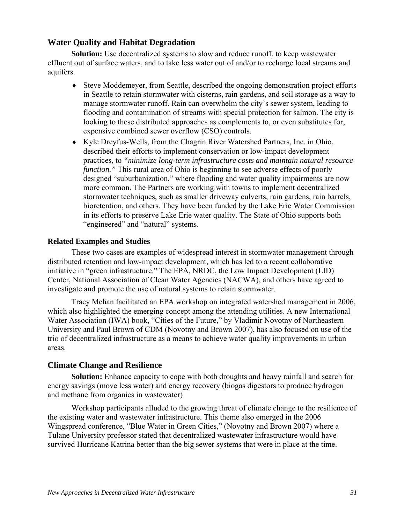# <span id="page-30-0"></span>**Water Quality and Habitat Degradation**

**Solution:** Use decentralized systems to slow and reduce runoff, to keep wastewater effluent out of surface waters, and to take less water out of and/or to recharge local streams and aquifers.

- ♦ Steve Moddemeyer, from Seattle, described the ongoing demonstration project efforts in Seattle to retain stormwater with cisterns, rain gardens, and soil storage as a way to manage stormwater runoff. Rain can overwhelm the city's sewer system, leading to flooding and contamination of streams with special protection for salmon. The city is looking to these distributed approaches as complements to, or even substitutes for, expensive combined sewer overflow (CSO) controls.
- ♦ Kyle Dreyfus-Wells, from the Chagrin River Watershed Partners, Inc. in Ohio, described their efforts to implement conservation or low-impact development practices, to *"minimize long-term infrastructure costs and maintain natural resource function.*" This rural area of Ohio is beginning to see adverse effects of poorly designed "suburbanization," where flooding and water quality impairments are now more common. The Partners are working with towns to implement decentralized stormwater techniques, such as smaller driveway culverts, rain gardens, rain barrels, bioretention, and others. They have been funded by the Lake Erie Water Commission in its efforts to preserve Lake Erie water quality. The State of Ohio supports both "engineered" and "natural" systems.

#### **Related Examples and Studies**

These two cases are examples of widespread interest in stormwater management through distributed retention and low-impact development, which has led to a recent collaborative initiative in "green infrastructure." The EPA, NRDC, the Low Impact Development (LID) Center, National Association of Clean Water Agencies (NACWA), and others have agreed to investigate and promote the use of natural systems to retain stormwater.

Tracy Mehan facilitated an EPA workshop on integrated watershed management in 2006, which also highlighted the emerging concept among the attending utilities. A new International Water Association (IWA) book, "Cities of the Future," by Vladimir Novotny of Northeastern University and Paul Brown of CDM (Novotny and Brown 2007), has also focused on use of the trio of decentralized infrastructure as a means to achieve water quality improvements in urban areas.

# <span id="page-30-1"></span>**Climate Change and Resilience**

**Solution:** Enhance capacity to cope with both droughts and heavy rainfall and search for energy savings (move less water) and energy recovery (biogas digestors to produce hydrogen and methane from organics in wastewater)

Workshop participants alluded to the growing threat of climate change to the resilience of the existing water and wastewater infrastructure. This theme also emerged in the 2006 Wingspread conference, "Blue Water in Green Cities," (Novotny and Brown 2007) where a Tulane University professor stated that decentralized wastewater infrastructure would have survived Hurricane Katrina better than the big sewer systems that were in place at the time.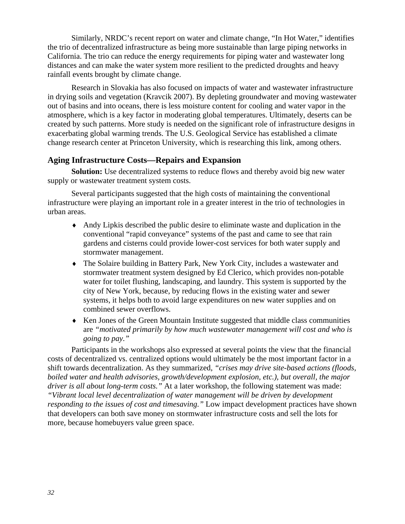Similarly, NRDC's recent report on water and climate change, "In Hot Water," identifies the trio of decentralized infrastructure as being more sustainable than large piping networks in California. The trio can reduce the energy requirements for piping water and wastewater long distances and can make the water system more resilient to the predicted droughts and heavy rainfall events brought by climate change.

Research in Slovakia has also focused on impacts of water and wastewater infrastructure in drying soils and vegetation (Kravcik 2007). By depleting groundwater and moving wastewater out of basins and into oceans, there is less moisture content for cooling and water vapor in the atmosphere, which is a key factor in moderating global temperatures. Ultimately, deserts can be created by such patterns. More study is needed on the significant role of infrastructure designs in exacerbating global warming trends. The U.S. Geological Service has established a climate change research center at Princeton University, which is researching this link, among others.

### **Aging Infrastructure Costs—Repairs and Expansion**

<span id="page-31-0"></span>**Solution:** Use decentralized systems to reduce flows and thereby avoid big new water supply or wastewater treatment system costs.

Several participants suggested that the high costs of maintaining the conventional infrastructure were playing an important role in a greater interest in the trio of technologies in urban areas.

- ♦ Andy Lipkis described the public desire to eliminate waste and duplication in the conventional "rapid conveyance" systems of the past and came to see that rain gardens and cisterns could provide lower-cost services for both water supply and stormwater management.
- ♦ The Solaire building in Battery Park, New York City, includes a wastewater and stormwater treatment system designed by Ed Clerico, which provides non-potable water for toilet flushing, landscaping, and laundry. This system is supported by the city of New York, because, by reducing flows in the existing water and sewer systems, it helps both to avoid large expenditures on new water supplies and on combined sewer overflows.
- ♦ Ken Jones of the Green Mountain Institute suggested that middle class communities are *"motivated primarily by how much wastewater management will cost and who is going to pay."*

Participants in the workshops also expressed at several points the view that the financial costs of decentralized vs. centralized options would ultimately be the most important factor in a shift towards decentralization. As they summarized, *"crises may drive site-based actions (floods, boiled water and health advisories, growth/development explosion, etc.), but overall, the major driver is all about long-term costs."* At a later workshop, the following statement was made: *"Vibrant local level decentralization of water management will be driven by development responding to the issues of cost and timesaving."* Low impact development practices have shown that developers can both save money on stormwater infrastructure costs and sell the lots for more, because homebuyers value green space.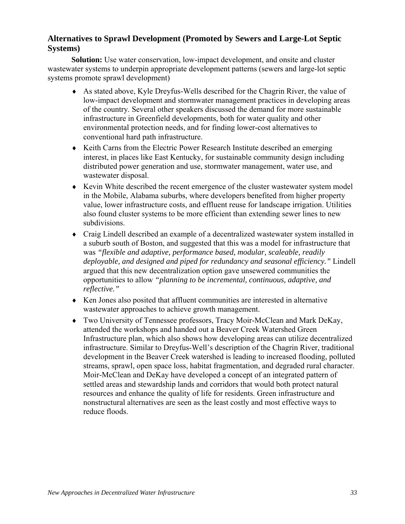# <span id="page-32-0"></span>**Alternatives to Sprawl Development (Promoted by Sewers and Large-Lot Septic Systems)**

**Solution:** Use water conservation, low-impact development, and onsite and cluster wastewater systems to underpin appropriate development patterns (sewers and large-lot septic systems promote sprawl development)

- ♦ As stated above, Kyle Dreyfus-Wells described for the Chagrin River, the value of low-impact development and stormwater management practices in developing areas of the country. Several other speakers discussed the demand for more sustainable infrastructure in Greenfield developments, both for water quality and other environmental protection needs, and for finding lower-cost alternatives to conventional hard path infrastructure.
- ♦ Keith Carns from the Electric Power Research Institute described an emerging interest, in places like East Kentucky, for sustainable community design including distributed power generation and use, stormwater management, water use, and wastewater disposal.
- ♦ Kevin White described the recent emergence of the cluster wastewater system model in the Mobile, Alabama suburbs, where developers benefited from higher property value, lower infrastructure costs, and effluent reuse for landscape irrigation. Utilities also found cluster systems to be more efficient than extending sewer lines to new subdivisions.
- ♦ Craig Lindell described an example of a decentralized wastewater system installed in a suburb south of Boston, and suggested that this was a model for infrastructure that was *"flexible and adaptive, performance based, modular, scaleable, readily deployable, and designed and piped for redundancy and seasonal efficiency."* Lindell argued that this new decentralization option gave unsewered communities the opportunities to allow *"planning to be incremental, continuous, adaptive, and reflective."*
- ♦ Ken Jones also posited that affluent communities are interested in alternative wastewater approaches to achieve growth management.
- ♦ Two University of Tennessee professors, Tracy Moir-McClean and Mark DeKay, attended the workshops and handed out a Beaver Creek Watershed Green Infrastructure plan, which also shows how developing areas can utilize decentralized infrastructure. Similar to Dreyfus-Well's description of the Chagrin River, traditional development in the Beaver Creek watershed is leading to increased flooding, polluted streams, sprawl, open space loss, habitat fragmentation, and degraded rural character. Moir-McClean and DeKay have developed a concept of an integrated pattern of settled areas and stewardship lands and corridors that would both protect natural resources and enhance the quality of life for residents. Green infrastructure and nonstructural alternatives are seen as the least costly and most effective ways to reduce floods.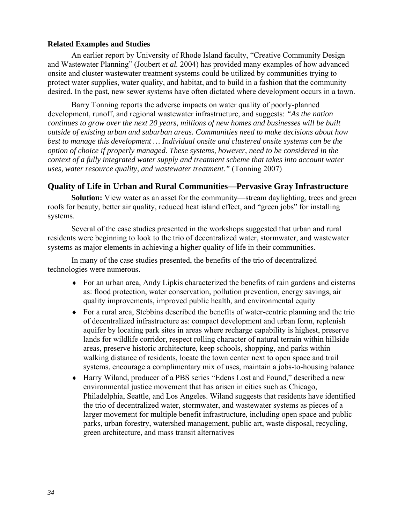#### **Related Examples and Studies**

An earlier report by University of Rhode Island faculty, "Creative Community Design and Wastewater Planning" (Joubert *et al.* 2004) has provided many examples of how advanced onsite and cluster wastewater treatment systems could be utilized by communities trying to protect water supplies, water quality, and habitat, and to build in a fashion that the community desired. In the past, new sewer systems have often dictated where development occurs in a town.

Barry Tonning reports the adverse impacts on water quality of poorly-planned development, runoff, and regional wastewater infrastructure, and suggests: *"As the nation continues to grow over the next 20 years, millions of new homes and businesses will be built outside of existing urban and suburban areas. Communities need to make decisions about how best to manage this development … Individual onsite and clustered onsite systems can be the option of choice if properly managed. These systems, however, need to be considered in the context of a fully integrated water supply and treatment scheme that takes into account water uses, water resource quality, and wastewater treatment."* (Tonning 2007)

# <span id="page-33-0"></span>**Quality of Life in Urban and Rural Communities—Pervasive Gray Infrastructure**

**Solution:** View water as an asset for the community—stream daylighting, trees and green roofs for beauty, better air quality, reduced heat island effect, and "green jobs" for installing systems.

Several of the case studies presented in the workshops suggested that urban and rural residents were beginning to look to the trio of decentralized water, stormwater, and wastewater systems as major elements in achieving a higher quality of life in their communities.

In many of the case studies presented, the benefits of the trio of decentralized technologies were numerous.

- ♦ For an urban area, Andy Lipkis characterized the benefits of rain gardens and cisterns as: flood protection, water conservation, pollution prevention, energy savings, air quality improvements, improved public health, and environmental equity
- ♦ For a rural area, Stebbins described the benefits of water-centric planning and the trio of decentralized infrastructure as: compact development and urban form, replenish aquifer by locating park sites in areas where recharge capability is highest, preserve lands for wildlife corridor, respect rolling character of natural terrain within hillside areas, preserve historic architecture, keep schools, shopping, and parks within walking distance of residents, locate the town center next to open space and trail systems, encourage a complimentary mix of uses, maintain a jobs-to-housing balance
- ♦ Harry Wiland, producer of a PBS series "Edens Lost and Found," described a new environmental justice movement that has arisen in cities such as Chicago, Philadelphia, Seattle, and Los Angeles. Wiland suggests that residents have identified the trio of decentralized water, stormwater, and wastewater systems as pieces of a larger movement for multiple benefit infrastructure, including open space and public parks, urban forestry, watershed management, public art, waste disposal, recycling, green architecture, and mass transit alternatives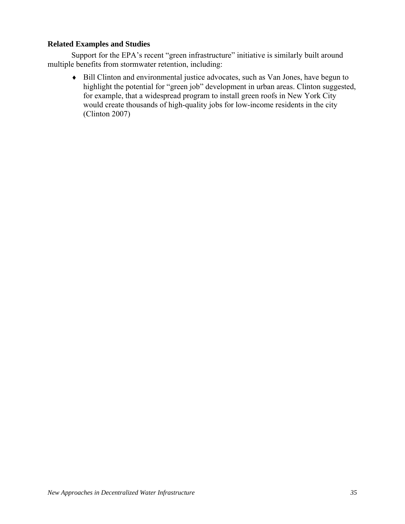### **Related Examples and Studies**

Support for the EPA's recent "green infrastructure" initiative is similarly built around multiple benefits from stormwater retention, including:

♦ Bill Clinton and environmental justice advocates, such as Van Jones, have begun to highlight the potential for "green job" development in urban areas. Clinton suggested, for example, that a widespread program to install green roofs in New York City would create thousands of high-quality jobs for low-income residents in the city (Clinton 2007)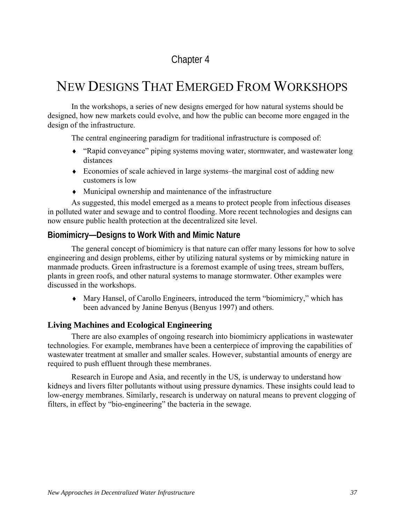# Chapter 4

# NEW DESIGNS THAT EMERGED FROM WORKSHOPS

In the workshops, a series of new designs emerged for how natural systems should be designed, how new markets could evolve, and how the public can become more engaged in the design of the infrastructure.

The central engineering paradigm for traditional infrastructure is composed of:

- ♦ "Rapid conveyance" piping systems moving water, stormwater, and wastewater long distances
- ♦ Economies of scale achieved in large systems–the marginal cost of adding new customers is low
- ♦ Municipal ownership and maintenance of the infrastructure

As suggested, this model emerged as a means to protect people from infectious diseases in polluted water and sewage and to control flooding. More recent technologies and designs can now ensure public health protection at the decentralized site level.

# **Biomimicry—Designs to Work With and Mimic Nature**

The general concept of biomimicry is that nature can offer many lessons for how to solve engineering and design problems, either by utilizing natural systems or by mimicking nature in manmade products. Green infrastructure is a foremost example of using trees, stream buffers, plants in green roofs, and other natural systems to manage stormwater. Other examples were discussed in the workshops.

♦ Mary Hansel, of Carollo Engineers, introduced the term "biomimicry," which has been advanced by Janine Benyus (Benyus 1997) and others.

### **Living Machines and Ecological Engineering**

There are also examples of ongoing research into biomimicry applications in wastewater technologies. For example, membranes have been a centerpiece of improving the capabilities of wastewater treatment at smaller and smaller scales. However, substantial amounts of energy are required to push effluent through these membranes.

Research in Europe and Asia, and recently in the US, is underway to understand how kidneys and livers filter pollutants without using pressure dynamics. These insights could lead to low-energy membranes. Similarly, research is underway on natural means to prevent clogging of filters, in effect by "bio-engineering" the bacteria in the sewage.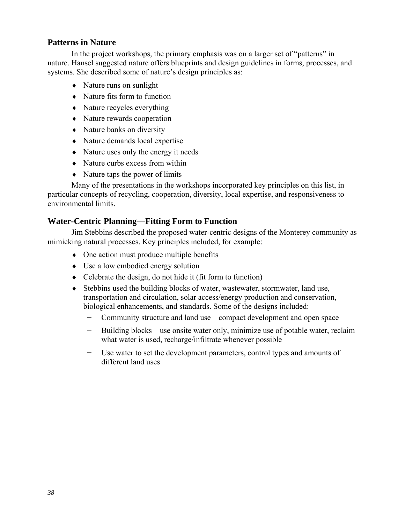### **Patterns in Nature**

In the project workshops, the primary emphasis was on a larger set of "patterns" in nature. Hansel suggested nature offers blueprints and design guidelines in forms, processes, and systems. She described some of nature's design principles as:

- ♦ Nature runs on sunlight
- $\bullet$  Nature fits form to function
- $\bullet$  Nature recycles everything
- ♦ Nature rewards cooperation
- Nature banks on diversity
- ♦ Nature demands local expertise
- ♦ Nature uses only the energy it needs
- ♦ Nature curbs excess from within
- ♦ Nature taps the power of limits

Many of the presentations in the workshops incorporated key principles on this list, in particular concepts of recycling, cooperation, diversity, local expertise, and responsiveness to environmental limits.

### **Water-Centric Planning—Fitting Form to Function**

Jim Stebbins described the proposed water-centric designs of the Monterey community as mimicking natural processes. Key principles included, for example:

- ♦ One action must produce multiple benefits
- ♦ Use a low embodied energy solution
- $\bullet$  Celebrate the design, do not hide it (fit form to function)
- ♦ Stebbins used the building blocks of water, wastewater, stormwater, land use, transportation and circulation, solar access/energy production and conservation, biological enhancements, and standards. Some of the designs included:
	- − Community structure and land use—compact development and open space
	- − Building blocks—use onsite water only, minimize use of potable water, reclaim what water is used, recharge/infiltrate whenever possible
	- Use water to set the development parameters, control types and amounts of different land uses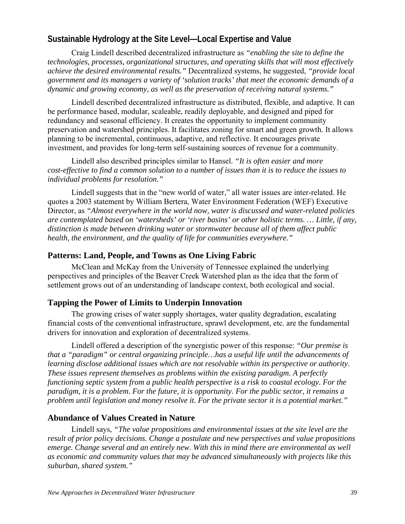# **Sustainable Hydrology at the Site Level—Local Expertise and Value**

Craig Lindell described decentralized infrastructure as *"enabling the site to define the technologies, processes, organizational structures, and operating skills that will most effectively achieve the desired environmental results."* Decentralized systems, he suggested, *"provide local government and its managers a variety of 'solution tracks' that meet the economic demands of a dynamic and growing economy, as well as the preservation of receiving natural systems."*

Lindell described decentralized infrastructure as distributed, flexible, and adaptive. It can be performance based, modular, scaleable, readily deployable, and designed and piped for redundancy and seasonal efficiency. It creates the opportunity to implement community preservation and watershed principles. It facilitates zoning for smart and green growth. It allows planning to be incremental, continuous, adaptive, and reflective. It encourages private investment, and provides for long-term self-sustaining sources of revenue for a community.

Lindell also described principles similar to Hansel. *"It is often easier and more cost-effective to find a common solution to a number of issues than it is to reduce the issues to individual problems for resolution."* 

Lindell suggests that in the "new world of water," all water issues are inter-related. He quotes a 2003 statement by William Bertera, Water Environment Federation (WEF) Executive Director, as *"Almost everywhere in the world now, water is discussed and water-related policies are contemplated based on 'watersheds' or 'river basins' or other holistic terms. … Little, if any, distinction is made between drinking water or stormwater because all of them affect public health, the environment, and the quality of life for communities everywhere."*

### **Patterns: Land, People, and Towns as One Living Fabric**

McClean and McKay from the University of Tennessee explained the underlying perspectives and principles of the Beaver Creek Watershed plan as the idea that the form of settlement grows out of an understanding of landscape context, both ecological and social.

# **Tapping the Power of Limits to Underpin Innovation**

The growing crises of water supply shortages, water quality degradation, escalating financial costs of the conventional infrastructure, sprawl development, etc. are the fundamental drivers for innovation and exploration of decentralized systems.

Lindell offered a description of the synergistic power of this response: *"Our premise is that a "paradigm" or central organizing principle…has a useful life until the advancements of learning disclose additional issues which are not resolvable within its perspective or authority. These issues represent themselves as problems within the existing paradigm. A perfectly functioning septic system from a public health perspective is a risk to coastal ecology. For the paradigm, it is a problem. For the future, it is opportunity. For the public sector, it remains a problem until legislation and money resolve it. For the private sector it is a potential market."* 

# **Abundance of Values Created in Nature**

Lindell says, *"The value propositions and environmental issues at the site level are the result of prior policy decisions. Change a postulate and new perspectives and value propositions emerge. Change several and an entirely new. With this in mind there are environmental as well as economic and community values that may be advanced simultaneously with projects like this suburban, shared system."*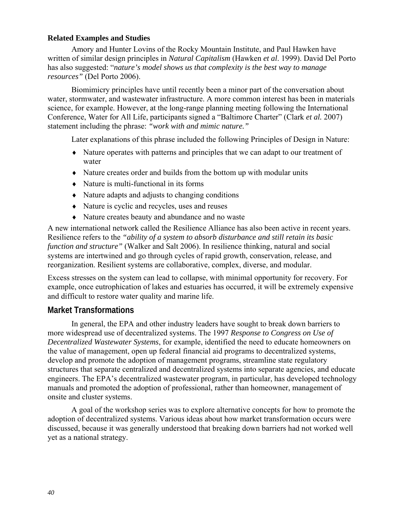### **Related Examples and Studies**

Amory and Hunter Lovins of the Rocky Mountain Institute, and Paul Hawken have written of similar design principles in *Natural Capitalism* (Hawken *et al*. 1999). David Del Porto has also suggested: "*nature's model shows us that complexity is the best way to manage resources"* (Del Porto 2006).

Biomimicry principles have until recently been a minor part of the conversation about water, stormwater, and wastewater infrastructure. A more common interest has been in materials science, for example. However, at the long-range planning meeting following the International Conference, Water for All Life, participants signed a "Baltimore Charter" (Clark *et al.* 2007) statement including the phrase: *"work with and mimic nature."*

Later explanations of this phrase included the following Principles of Design in Nature:

- ♦ Nature operates with patterns and principles that we can adapt to our treatment of water
- ♦ Nature creates order and builds from the bottom up with modular units
- ♦ Nature is multi-functional in its forms
- ♦ Nature adapts and adjusts to changing conditions
- ♦ Nature is cyclic and recycles, uses and reuses
- ♦ Nature creates beauty and abundance and no waste

A new international network called the Resilience Alliance has also been active in recent years. Resilience refers to the *"ability of a system to absorb disturbance and still retain its basic function and structure"* (Walker and Salt 2006). In resilience thinking, natural and social systems are intertwined and go through cycles of rapid growth, conservation, release, and reorganization. Resilient systems are collaborative, complex, diverse, and modular.

Excess stresses on the system can lead to collapse, with minimal opportunity for recovery. For example, once eutrophication of lakes and estuaries has occurred, it will be extremely expensive and difficult to restore water quality and marine life.

# **Market Transformations**

In general, the EPA and other industry leaders have sought to break down barriers to more widespread use of decentralized systems. The 1997 *Response to Congress on Use of Decentralized Wastewater Systems*, for example, identified the need to educate homeowners on the value of management, open up federal financial aid programs to decentralized systems, develop and promote the adoption of management programs, streamline state regulatory structures that separate centralized and decentralized systems into separate agencies, and educate engineers. The EPA's decentralized wastewater program, in particular, has developed technology manuals and promoted the adoption of professional, rather than homeowner, management of onsite and cluster systems.

A goal of the workshop series was to explore alternative concepts for how to promote the adoption of decentralized systems. Various ideas about how market transformation occurs were discussed, because it was generally understood that breaking down barriers had not worked well yet as a national strategy.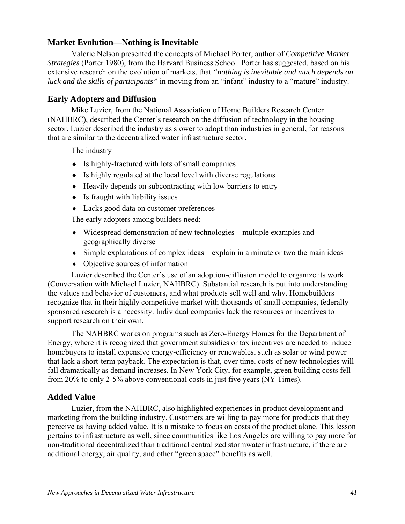### **Market Evolution—Nothing is Inevitable**

Valerie Nelson presented the concepts of Michael Porter, author of *Competitive Market Strategies* (Porter 1980), from the Harvard Business School. Porter has suggested, based on his extensive research on the evolution of markets, that *"nothing is inevitable and much depends on luck and the skills of participants"* in moving from an "infant" industry to a "mature" industry.

### **Early Adopters and Diffusion**

Mike Luzier, from the National Association of Home Builders Research Center (NAHBRC), described the Center's research on the diffusion of technology in the housing sector. Luzier described the industry as slower to adopt than industries in general, for reasons that are similar to the decentralized water infrastructure sector.

The industry

- ♦ Is highly-fractured with lots of small companies
- ♦ Is highly regulated at the local level with diverse regulations
- ♦ Heavily depends on subcontracting with low barriers to entry
- $\bullet$  Is fraught with liability issues
- ♦ Lacks good data on customer preferences

The early adopters among builders need:

- ♦ Widespread demonstration of new technologies—multiple examples and geographically diverse
- ♦ Simple explanations of complex ideas—explain in a minute or two the main ideas
- ♦ Objective sources of information

Luzier described the Center's use of an adoption-diffusion model to organize its work (Conversation with Michael Luzier, NAHBRC). Substantial research is put into understanding the values and behavior of customers, and what products sell well and why. Homebuilders recognize that in their highly competitive market with thousands of small companies, federallysponsored research is a necessity. Individual companies lack the resources or incentives to support research on their own.

The NAHBRC works on programs such as Zero-Energy Homes for the Department of Energy, where it is recognized that government subsidies or tax incentives are needed to induce homebuyers to install expensive energy-efficiency or renewables, such as solar or wind power that lack a short-term payback. The expectation is that, over time, costs of new technologies will fall dramatically as demand increases. In New York City, for example, green building costs fell from 20% to only 2-5% above conventional costs in just five years (NY Times).

### **Added Value**

Luzier, from the NAHBRC, also highlighted experiences in product development and marketing from the building industry. Customers are willing to pay more for products that they perceive as having added value. It is a mistake to focus on costs of the product alone. This lesson pertains to infrastructure as well, since communities like Los Angeles are willing to pay more for non-traditional decentralized than traditional centralized stormwater infrastructure, if there are additional energy, air quality, and other "green space" benefits as well.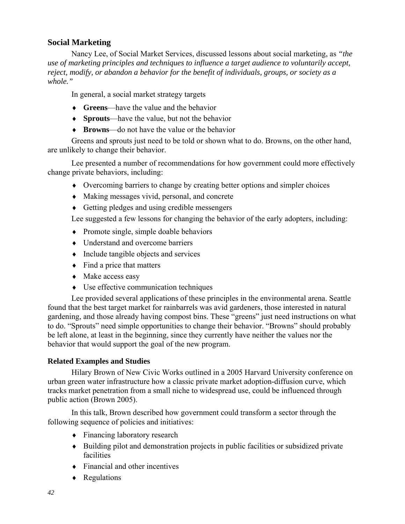### **Social Marketing**

Nancy Lee, of Social Market Services, discussed lessons about social marketing, as *"the use of marketing principles and techniques to influence a target audience to voluntarily accept, reject, modify, or abandon a behavior for the benefit of individuals, groups, or society as a whole."*

In general, a social market strategy targets

- ♦ **Greens**—have the value and the behavior
- ♦ **Sprouts**—have the value, but not the behavior
- ♦ **Browns**—do not have the value or the behavior

Greens and sprouts just need to be told or shown what to do. Browns, on the other hand, are unlikely to change their behavior.

Lee presented a number of recommendations for how government could more effectively change private behaviors, including:

- ♦ Overcoming barriers to change by creating better options and simpler choices
- ♦ Making messages vivid, personal, and concrete
- ♦ Getting pledges and using credible messengers

Lee suggested a few lessons for changing the behavior of the early adopters, including:

- ♦ Promote single, simple doable behaviors
- ♦ Understand and overcome barriers
- ♦ Include tangible objects and services
- $\bullet$  Find a price that matters
- ♦ Make access easy
- ♦ Use effective communication techniques

Lee provided several applications of these principles in the environmental arena. Seattle found that the best target market for rainbarrels was avid gardeners, those interested in natural gardening, and those already having compost bins. These "greens" just need instructions on what to do. "Sprouts" need simple opportunities to change their behavior. "Browns" should probably be left alone, at least in the beginning, since they currently have neither the values nor the behavior that would support the goal of the new program.

### **Related Examples and Studies**

Hilary Brown of New Civic Works outlined in a 2005 Harvard University conference on urban green water infrastructure how a classic private market adoption-diffusion curve, which tracks market penetration from a small niche to widespread use, could be influenced through public action (Brown 2005).

In this talk, Brown described how government could transform a sector through the following sequence of policies and initiatives:

- ♦ Financing laboratory research
- ♦ Building pilot and demonstration projects in public facilities or subsidized private facilities
- $\bullet$  Financial and other incentives
- ♦ Regulations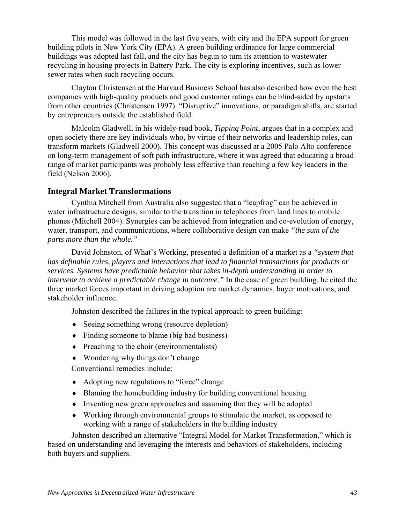This model was followed in the last five years, with city and the EPA support for green building pilots in New York City (EPA). A green building ordinance for large commercial buildings was adopted last fall, and the city has begun to turn its attention to wastewater recycling in housing projects in Battery Park. The city is exploring incentives, such as lower sewer rates when such recycling occurs.

Clayton Christensen at the Harvard Business School has also described how even the best companies with high-quality products and good customer ratings can be blind-sided by upstarts from other countries (Christensen 1997). "Disruptive" innovations, or paradigm shifts, are started by entrepreneurs outside the established field.

Malcolm Gladwell, in his widely-read book, *Tipping Point*, argues that in a complex and open society there are key individuals who, by virtue of their networks and leadership roles, can transform markets (Gladwell 2000). This concept was discussed at a 2005 Palo Alto conference on long-term management of soft path infrastructure, where it was agreed that educating a broad range of market participants was probably less effective than reaching a few key leaders in the field (Nelson 2006).

### **Integral Market Transformations**

Cynthia Mitchell from Australia also suggested that a "leapfrog" can be achieved in water infrastructure designs, similar to the transition in telephones from land lines to mobile phones (Mitchell 2004). Synergies can be achieved from integration and co-evolution of energy, water, transport, and communications, where collaborative design can make *"the sum of the parts more than the whole."*

David Johnston, of What's Working, presented a definition of a market as a *"system that has definable rules, players and interactions that lead to financial transactions for products or services. Systems have predictable behavior that takes in-depth understanding in order to intervene to achieve a predictable change in outcome."* In the case of green building, he cited the three market forces important in driving adoption are market dynamics, buyer motivations, and stakeholder influence.

Johnston described the failures in the typical approach to green building:

- ♦ Seeing something wrong (resource depletion)
- ♦ Finding someone to blame (big bad business)
- $\triangle$  Preaching to the choir (environmentalists)
- $\bullet$  Wondering why things don't change

Conventional remedies include:

- ♦ Adopting new regulations to "force" change
- ♦ Blaming the homebuilding industry for building conventional housing
- ♦ Inventing new green approaches and assuming that they will be adopted
- ♦ Working through environmental groups to stimulate the market, as opposed to working with a range of stakeholders in the building industry

Johnston described an alternative "Integral Model for Market Transformation," which is based on understanding and leveraging the interests and behaviors of stakeholders, including both buyers and suppliers.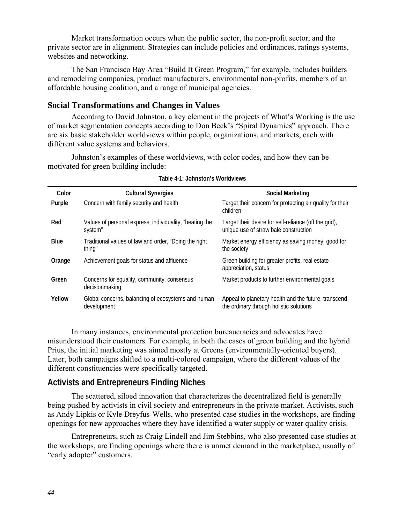Market transformation occurs when the public sector, the non-profit sector, and the private sector are in alignment. Strategies can include policies and ordinances, ratings systems, websites and networking.

The San Francisco Bay Area "Build It Green Program," for example, includes builders and remodeling companies, product manufacturers, environmental non-profits, members of an affordable housing coalition, and a range of municipal agencies.

### **Social Transformations and Changes in Values**

According to David Johnston, a key element in the projects of What's Working is the use of market segmentation concepts according to Don Beck's "Spiral Dynamics" approach. There are six basic stakeholder worldviews within people, organizations, and markets, each with different value systems and behaviors.

Johnston's examples of these worldviews, with color codes, and how they can be motivated for green building include:

| Color       | <b>Cultural Synergies</b>                                          | Social Marketing                                                                                |
|-------------|--------------------------------------------------------------------|-------------------------------------------------------------------------------------------------|
| Purple      | Concern with family security and health                            | Target their concern for protecting air quality for their<br>children                           |
| Red         | Values of personal express, individuality, "beating the<br>system" | Target their desire for self-reliance (off the grid),<br>unique use of straw bale construction  |
| <b>Blue</b> | Traditional values of law and order, "Doing the right<br>thing"    | Market energy efficiency as saving money, good for<br>the society                               |
| Orange      | Achievement goals for status and affluence                         | Green building for greater profits, real estate<br>appreciation, status                         |
| Green       | Concerns for equality, community, consensus<br>decisionmaking      | Market products to further environmental goals                                                  |
| Yellow      | Global concerns, balancing of ecosystems and human<br>development  | Appeal to planetary health and the future, transcend<br>the ordinary through holistic solutions |

#### **Table 4-1: Johnston's Worldviews**

In many instances, environmental protection bureaucracies and advocates have misunderstood their customers. For example, in both the cases of green building and the hybrid Prius, the initial marketing was aimed mostly at Greens (environmentally-oriented buyers). Later, both campaigns shifted to a multi-colored campaign, where the different values of the different constituencies were specifically targeted.

### **Activists and Entrepreneurs Finding Niches**

The scattered, siloed innovation that characterizes the decentralized field is generally being pushed by activists in civil society and entrepreneurs in the private market. Activists, such as Andy Lipkis or Kyle Dreyfus-Wells, who presented case studies in the workshops, are finding openings for new approaches where they have identified a water supply or water quality crisis.

Entrepreneurs, such as Craig Lindell and Jim Stebbins, who also presented case studies at the workshops, are finding openings where there is unmet demand in the marketplace, usually of "early adopter" customers.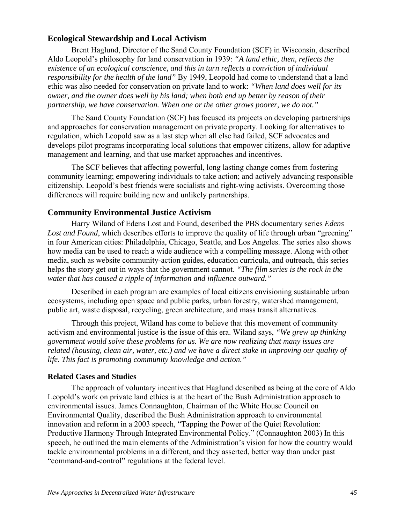### **Ecological Stewardship and Local Activism**

Brent Haglund, Director of the Sand County Foundation (SCF) in Wisconsin, described Aldo Leopold's philosophy for land conservation in 1939: *"A land ethic, then, reflects the existence of an ecological conscience, and this in turn reflects a conviction of individual responsibility for the health of the land"* By 1949, Leopold had come to understand that a land ethic was also needed for conservation on private land to work: *"When land does well for its owner, and the owner does well by his land; when both end up better by reason of their partnership, we have conservation. When one or the other grows poorer, we do not."* 

The Sand County Foundation (SCF) has focused its projects on developing partnerships and approaches for conservation management on private property. Looking for alternatives to regulation, which Leopold saw as a last step when all else had failed, SCF advocates and develops pilot programs incorporating local solutions that empower citizens, allow for adaptive management and learning, and that use market approaches and incentives.

The SCF believes that affecting powerful, long lasting change comes from fostering community learning; empowering individuals to take action; and actively advancing responsible citizenship. Leopold's best friends were socialists and right-wing activists. Overcoming those differences will require building new and unlikely partnerships.

### **Community Environmental Justice Activism**

Harry Wiland of Edens Lost and Found, described the PBS documentary series *Edens Lost and Found*, which describes efforts to improve the quality of life through urban "greening" in four American cities: Philadelphia, Chicago, Seattle, and Los Angeles. The series also shows how media can be used to reach a wide audience with a compelling message. Along with other media, such as website community-action guides, education curricula, and outreach, this series helps the story get out in ways that the government cannot. *"The film series is the rock in the water that has caused a ripple of information and influence outward."*

Described in each program are examples of local citizens envisioning sustainable urban ecosystems, including open space and public parks, urban forestry, watershed management, public art, waste disposal, recycling, green architecture, and mass transit alternatives.

Through this project, Wiland has come to believe that this movement of community activism and environmental justice is the issue of this era. Wiland says, *"We grew up thinking government would solve these problems for us. We are now realizing that many issues are related (housing, clean air, water, etc.) and we have a direct stake in improving our quality of life. This fact is promoting community knowledge and action."*

### **Related Cases and Studies**

The approach of voluntary incentives that Haglund described as being at the core of Aldo Leopold's work on private land ethics is at the heart of the Bush Administration approach to environmental issues. James Connaughton, Chairman of the White House Council on Environmental Quality, described the Bush Administration approach to environmental innovation and reform in a 2003 speech, "Tapping the Power of the Quiet Revolution: Productive Harmony Through Integrated Environmental Policy." (Connaughton 2003) In this speech, he outlined the main elements of the Administration's vision for how the country would tackle environmental problems in a different, and they asserted, better way than under past "command-and-control" regulations at the federal level.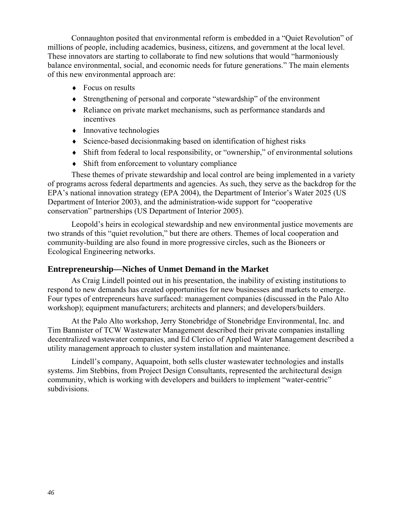Connaughton posited that environmental reform is embedded in a "Quiet Revolution" of millions of people, including academics, business, citizens, and government at the local level. These innovators are starting to collaborate to find new solutions that would "harmoniously balance environmental, social, and economic needs for future generations." The main elements of this new environmental approach are:

- ♦ Focus on results
- ♦ Strengthening of personal and corporate "stewardship" of the environment
- ♦ Reliance on private market mechanisms, such as performance standards and incentives
- Innovative technologies
- ♦ Science-based decisionmaking based on identification of highest risks
- ♦ Shift from federal to local responsibility, or "ownership," of environmental solutions
- ♦ Shift from enforcement to voluntary compliance

These themes of private stewardship and local control are being implemented in a variety of programs across federal departments and agencies. As such, they serve as the backdrop for the EPA's national innovation strategy (EPA 2004), the Department of Interior's Water 2025 (US Department of Interior 2003), and the administration-wide support for "cooperative conservation" partnerships (US Department of Interior 2005).

Leopold's heirs in ecological stewardship and new environmental justice movements are two strands of this "quiet revolution," but there are others. Themes of local cooperation and community-building are also found in more progressive circles, such as the Bioneers or Ecological Engineering networks.

#### **Entrepreneurship—Niches of Unmet Demand in the Market**

As Craig Lindell pointed out in his presentation, the inability of existing institutions to respond to new demands has created opportunities for new businesses and markets to emerge. Four types of entrepreneurs have surfaced: management companies (discussed in the Palo Alto workshop); equipment manufacturers; architects and planners; and developers/builders.

At the Palo Alto workshop, Jerry Stonebridge of Stonebridge Environmental, Inc. and Tim Bannister of TCW Wastewater Management described their private companies installing decentralized wastewater companies, and Ed Clerico of Applied Water Management described a utility management approach to cluster system installation and maintenance.

Lindell's company, Aquapoint, both sells cluster wastewater technologies and installs systems. Jim Stebbins, from Project Design Consultants, represented the architectural design community, which is working with developers and builders to implement "water-centric" subdivisions.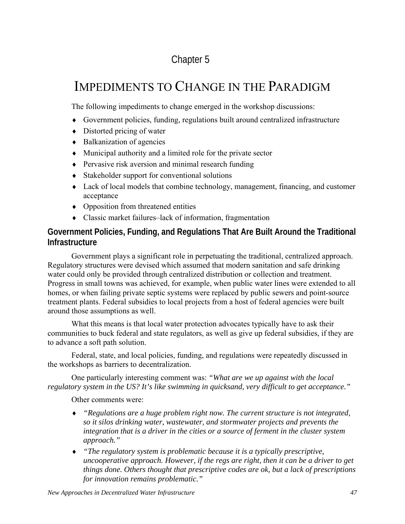# Chapter 5

# IMPEDIMENTS TO CHANGE IN THE PARADIGM

The following impediments to change emerged in the workshop discussions:

- ♦ Government policies, funding, regulations built around centralized infrastructure
- $\bullet$  Distorted pricing of water
- ♦ Balkanization of agencies
- ♦ Municipal authority and a limited role for the private sector
- ♦ Pervasive risk aversion and minimal research funding
- ♦ Stakeholder support for conventional solutions
- ♦ Lack of local models that combine technology, management, financing, and customer acceptance
- ♦ Opposition from threatened entities
- ♦ Classic market failures–lack of information, fragmentation

# **Government Policies, Funding, and Regulations That Are Built Around the Traditional Infrastructure**

Government plays a significant role in perpetuating the traditional, centralized approach. Regulatory structures were devised which assumed that modern sanitation and safe drinking water could only be provided through centralized distribution or collection and treatment. Progress in small towns was achieved, for example, when public water lines were extended to all homes, or when failing private septic systems were replaced by public sewers and point-source treatment plants. Federal subsidies to local projects from a host of federal agencies were built around those assumptions as well.

What this means is that local water protection advocates typically have to ask their communities to buck federal and state regulators, as well as give up federal subsidies, if they are to advance a soft path solution.

Federal, state, and local policies, funding, and regulations were repeatedly discussed in the workshops as barriers to decentralization.

One particularly interesting comment was: *"What are we up against with the local regulatory system in the US? It's like swimming in quicksand, very difficult to get acceptance."* 

Other comments were:

- ♦ *"Regulations are a huge problem right now. The current structure is not integrated, so it silos drinking water, wastewater, and stormwater projects and prevents the integration that is a driver in the cities or a source of ferment in the cluster system approach."*
- ♦ *"The regulatory system is problematic because it is a typically prescriptive, uncooperative approach. However, if the regs are right, then it can be a driver to get things done. Others thought that prescriptive codes are ok, but a lack of prescriptions for innovation remains problematic."*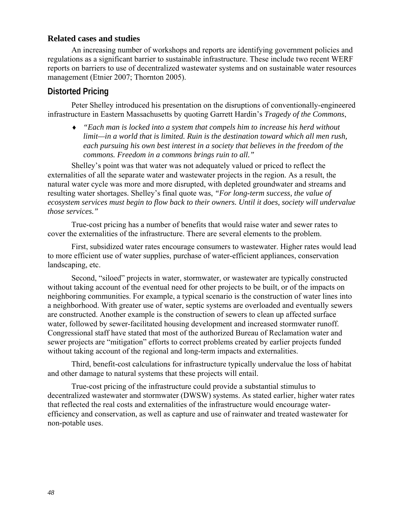### **Related cases and studies**

An increasing number of workshops and reports are identifying government policies and regulations as a significant barrier to sustainable infrastructure. These include two recent WERF reports on barriers to use of decentralized wastewater systems and on sustainable water resources management (Etnier 2007; Thornton 2005).

### **Distorted Pricing**

Peter Shelley introduced his presentation on the disruptions of conventionally-engineered infrastructure in Eastern Massachusetts by quoting Garrett Hardin's *Tragedy of the Commons*,

♦ *"Each man is locked into a system that compels him to increase his herd without limit—in a world that is limited. Ruin is the destination toward which all men rush, each pursuing his own best interest in a society that believes in the freedom of the commons. Freedom in a commons brings ruin to all."* 

Shelley's point was that water was not adequately valued or priced to reflect the externalities of all the separate water and wastewater projects in the region. As a result, the natural water cycle was more and more disrupted, with depleted groundwater and streams and resulting water shortages. Shelley's final quote was, *"For long-term success, the value of ecosystem services must begin to flow back to their owners. Until it does, society will undervalue those services."*

True-cost pricing has a number of benefits that would raise water and sewer rates to cover the externalities of the infrastructure. There are several elements to the problem.

First, subsidized water rates encourage consumers to wastewater. Higher rates would lead to more efficient use of water supplies, purchase of water-efficient appliances, conservation landscaping, etc.

Second, "siloed" projects in water, stormwater, or wastewater are typically constructed without taking account of the eventual need for other projects to be built, or of the impacts on neighboring communities. For example, a typical scenario is the construction of water lines into a neighborhood. With greater use of water, septic systems are overloaded and eventually sewers are constructed. Another example is the construction of sewers to clean up affected surface water, followed by sewer-facilitated housing development and increased stormwater runoff. Congressional staff have stated that most of the authorized Bureau of Reclamation water and sewer projects are "mitigation" efforts to correct problems created by earlier projects funded without taking account of the regional and long-term impacts and externalities.

Third, benefit-cost calculations for infrastructure typically undervalue the loss of habitat and other damage to natural systems that these projects will entail.

True-cost pricing of the infrastructure could provide a substantial stimulus to decentralized wastewater and stormwater (DWSW) systems. As stated earlier, higher water rates that reflected the real costs and externalities of the infrastructure would encourage waterefficiency and conservation, as well as capture and use of rainwater and treated wastewater for non-potable uses.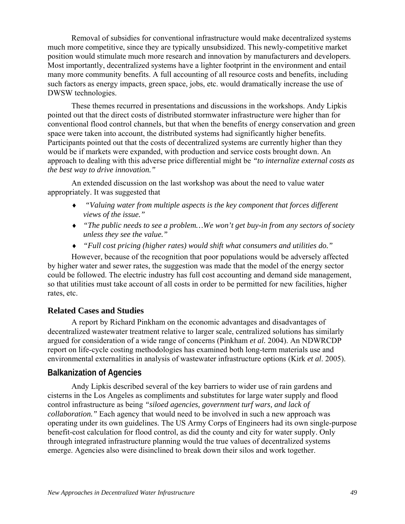Removal of subsidies for conventional infrastructure would make decentralized systems much more competitive, since they are typically unsubsidized. This newly-competitive market position would stimulate much more research and innovation by manufacturers and developers. Most importantly, decentralized systems have a lighter footprint in the environment and entail many more community benefits. A full accounting of all resource costs and benefits, including such factors as energy impacts, green space, jobs, etc. would dramatically increase the use of DWSW technologies.

These themes recurred in presentations and discussions in the workshops. Andy Lipkis pointed out that the direct costs of distributed stormwater infrastructure were higher than for conventional flood control channels, but that when the benefits of energy conservation and green space were taken into account, the distributed systems had significantly higher benefits. Participants pointed out that the costs of decentralized systems are currently higher than they would be if markets were expanded, with production and service costs brought down. An approach to dealing with this adverse price differential might be *"to internalize external costs as the best way to drive innovation."* 

An extended discussion on the last workshop was about the need to value water appropriately. It was suggested that

- ♦ *"Valuing water from multiple aspects is the key component that forces different views of the issue."*
- ♦ *"The public needs to see a problem…We won't get buy-in from any sectors of society unless they see the value."*
- ♦ *"Full cost pricing (higher rates) would shift what consumers and utilities do."*

However, because of the recognition that poor populations would be adversely affected by higher water and sewer rates, the suggestion was made that the model of the energy sector could be followed. The electric industry has full cost accounting and demand side management, so that utilities must take account of all costs in order to be permitted for new facilities, higher rates, etc.

# **Related Cases and Studies**

A report by Richard Pinkham on the economic advantages and disadvantages of decentralized wastewater treatment relative to larger scale, centralized solutions has similarly argued for consideration of a wide range of concerns (Pinkham *et al.* 2004). An NDWRCDP report on life-cycle costing methodologies has examined both long-term materials use and environmental externalities in analysis of wastewater infrastructure options (Kirk *et al*. 2005).

### **Balkanization of Agencies**

Andy Lipkis described several of the key barriers to wider use of rain gardens and cisterns in the Los Angeles as compliments and substitutes for large water supply and flood control infrastructure as being *"siloed agencies, government turf wars, and lack of collaboration."* Each agency that would need to be involved in such a new approach was operating under its own guidelines. The US Army Corps of Engineers had its own single-purpose benefit-cost calculation for flood control, as did the county and city for water supply. Only through integrated infrastructure planning would the true values of decentralized systems emerge. Agencies also were disinclined to break down their silos and work together.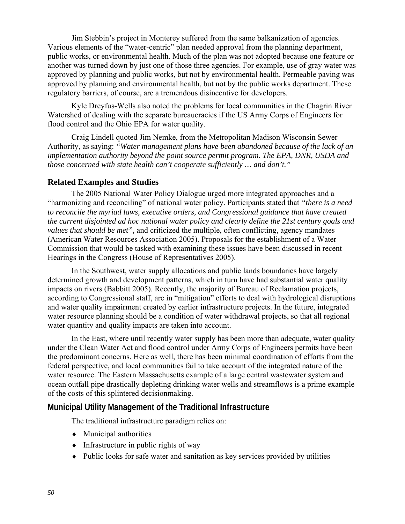Jim Stebbin's project in Monterey suffered from the same balkanization of agencies. Various elements of the "water-centric" plan needed approval from the planning department, public works, or environmental health. Much of the plan was not adopted because one feature or another was turned down by just one of those three agencies. For example, use of gray water was approved by planning and public works, but not by environmental health. Permeable paving was approved by planning and environmental health, but not by the public works department. These regulatory barriers, of course, are a tremendous disincentive for developers.

Kyle Dreyfus-Wells also noted the problems for local communities in the Chagrin River Watershed of dealing with the separate bureaucracies if the US Army Corps of Engineers for flood control and the Ohio EPA for water quality.

Craig Lindell quoted Jim Nemke, from the Metropolitan Madison Wisconsin Sewer Authority, as saying: *"Water management plans have been abandoned because of the lack of an implementation authority beyond the point source permit program. The EPA, DNR, USDA and those concerned with state health can't cooperate sufficiently … and don't."* 

### **Related Examples and Studies**

The 2005 National Water Policy Dialogue urged more integrated approaches and a "harmonizing and reconciling" of national water policy. Participants stated that *"there is a need to reconcile the myriad laws, executive orders, and Congressional guidance that have created the current disjointed ad hoc national water policy and clearly define the 21st century goals and values that should be met",* and criticized the multiple, often conflicting, agency mandates (American Water Resources Association 2005). Proposals for the establishment of a Water Commission that would be tasked with examining these issues have been discussed in recent Hearings in the Congress (House of Representatives 2005).

In the Southwest, water supply allocations and public lands boundaries have largely determined growth and development patterns, which in turn have had substantial water quality impacts on rivers (Babbitt 2005). Recently, the majority of Bureau of Reclamation projects, according to Congressional staff, are in "mitigation" efforts to deal with hydrological disruptions and water quality impairment created by earlier infrastructure projects. In the future, integrated water resource planning should be a condition of water withdrawal projects, so that all regional water quantity and quality impacts are taken into account.

In the East, where until recently water supply has been more than adequate, water quality under the Clean Water Act and flood control under Army Corps of Engineers permits have been the predominant concerns. Here as well, there has been minimal coordination of efforts from the federal perspective, and local communities fail to take account of the integrated nature of the water resource. The Eastern Massachusetts example of a large central wastewater system and ocean outfall pipe drastically depleting drinking water wells and streamflows is a prime example of the costs of this splintered decisionmaking.

### **Municipal Utility Management of the Traditional Infrastructure**

The traditional infrastructure paradigm relies on:

- $\triangleleft$  Municipal authorities
- $\bullet$  Infrastructure in public rights of way
- ♦ Public looks for safe water and sanitation as key services provided by utilities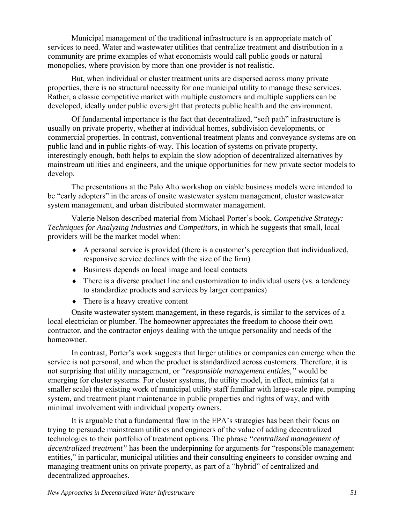Municipal management of the traditional infrastructure is an appropriate match of services to need. Water and wastewater utilities that centralize treatment and distribution in a community are prime examples of what economists would call public goods or natural monopolies, where provision by more than one provider is not realistic.

But, when individual or cluster treatment units are dispersed across many private properties, there is no structural necessity for one municipal utility to manage these services. Rather, a classic competitive market with multiple customers and multiple suppliers can be developed, ideally under public oversight that protects public health and the environment.

Of fundamental importance is the fact that decentralized, "soft path" infrastructure is usually on private property, whether at individual homes, subdivision developments, or commercial properties. In contrast, conventional treatment plants and conveyance systems are on public land and in public rights-of-way. This location of systems on private property, interestingly enough, both helps to explain the slow adoption of decentralized alternatives by mainstream utilities and engineers, and the unique opportunities for new private sector models to develop.

The presentations at the Palo Alto workshop on viable business models were intended to be "early adopters" in the areas of onsite wastewater system management, cluster wastewater system management, and urban distributed stormwater management.

Valerie Nelson described material from Michael Porter's book, *Competitive Strategy: Techniques for Analyzing Industries and Competitors,* in which he suggests that small, local providers will be the market model when:

- $\triangle$  A personal service is provided (there is a customer's perception that individualized, responsive service declines with the size of the firm)
- ♦ Business depends on local image and local contacts
- ♦ There is a diverse product line and customization to individual users (vs. a tendency to standardize products and services by larger companies)
- $\bullet$  There is a heavy creative content

Onsite wastewater system management, in these regards, is similar to the services of a local electrician or plumber. The homeowner appreciates the freedom to choose their own contractor, and the contractor enjoys dealing with the unique personality and needs of the homeowner.

In contrast, Porter's work suggests that larger utilities or companies can emerge when the service is not personal, and when the product is standardized across customers. Therefore, it is not surprising that utility management, or *"responsible management entities,"* would be emerging for cluster systems. For cluster systems, the utility model, in effect, mimics (at a smaller scale) the existing work of municipal utility staff familiar with large-scale pipe, pumping system, and treatment plant maintenance in public properties and rights of way, and with minimal involvement with individual property owners.

It is arguable that a fundamental flaw in the EPA's strategies has been their focus on trying to persuade mainstream utilities and engineers of the value of adding decentralized technologies to their portfolio of treatment options. The phrase *"centralized management of decentralized treatment"* has been the underpinning for arguments for "responsible management entities," in particular, municipal utilities and their consulting engineers to consider owning and managing treatment units on private property, as part of a "hybrid" of centralized and decentralized approaches.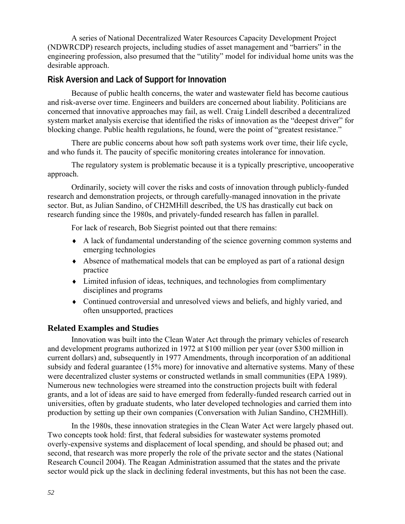A series of National Decentralized Water Resources Capacity Development Project (NDWRCDP) research projects, including studies of asset management and "barriers" in the engineering profession, also presumed that the "utility" model for individual home units was the desirable approach.

# **Risk Aversion and Lack of Support for Innovation**

Because of public health concerns, the water and wastewater field has become cautious and risk-averse over time. Engineers and builders are concerned about liability. Politicians are concerned that innovative approaches may fail, as well. Craig Lindell described a decentralized system market analysis exercise that identified the risks of innovation as the "deepest driver" for blocking change. Public health regulations, he found, were the point of "greatest resistance."

There are public concerns about how soft path systems work over time, their life cycle, and who funds it. The paucity of specific monitoring creates intolerance for innovation.

The regulatory system is problematic because it is a typically prescriptive, uncooperative approach.

Ordinarily, society will cover the risks and costs of innovation through publicly-funded research and demonstration projects, or through carefully-managed innovation in the private sector. But, as Julian Sandino, of CH2MHill described, the US has drastically cut back on research funding since the 1980s, and privately-funded research has fallen in parallel.

For lack of research, Bob Siegrist pointed out that there remains:

- ♦ A lack of fundamental understanding of the science governing common systems and emerging technologies
- ♦ Absence of mathematical models that can be employed as part of a rational design practice
- ♦ Limited infusion of ideas, techniques, and technologies from complimentary disciplines and programs
- ♦ Continued controversial and unresolved views and beliefs, and highly varied, and often unsupported, practices

# **Related Examples and Studies**

Innovation was built into the Clean Water Act through the primary vehicles of research and development programs authorized in 1972 at \$100 million per year (over \$300 million in current dollars) and, subsequently in 1977 Amendments, through incorporation of an additional subsidy and federal guarantee (15% more) for innovative and alternative systems. Many of these were decentralized cluster systems or constructed wetlands in small communities (EPA 1989). Numerous new technologies were streamed into the construction projects built with federal grants, and a lot of ideas are said to have emerged from federally-funded research carried out in universities, often by graduate students, who later developed technologies and carried them into production by setting up their own companies (Conversation with Julian Sandino, CH2MHill).

In the 1980s, these innovation strategies in the Clean Water Act were largely phased out. Two concepts took hold: first, that federal subsidies for wastewater systems promoted overly-expensive systems and displacement of local spending, and should be phased out; and second, that research was more properly the role of the private sector and the states (National Research Council 2004). The Reagan Administration assumed that the states and the private sector would pick up the slack in declining federal investments, but this has not been the case.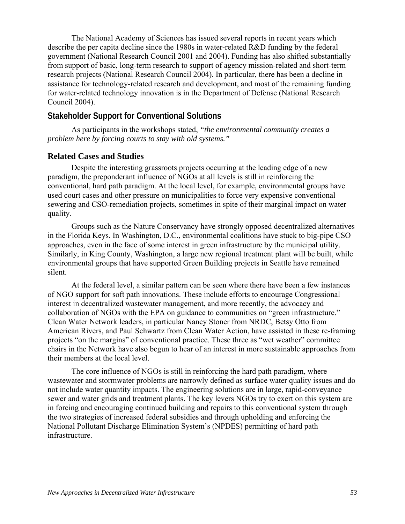The National Academy of Sciences has issued several reports in recent years which describe the per capita decline since the 1980s in water-related R&D funding by the federal government (National Research Council 2001 and 2004). Funding has also shifted substantially from support of basic, long-term research to support of agency mission-related and short-term research projects (National Research Council 2004). In particular, there has been a decline in assistance for technology-related research and development, and most of the remaining funding for water-related technology innovation is in the Department of Defense (National Research Council 2004).

### **Stakeholder Support for Conventional Solutions**

As participants in the workshops stated, *"the environmental community creates a problem here by forcing courts to stay with old systems."*

### **Related Cases and Studies**

Despite the interesting grassroots projects occurring at the leading edge of a new paradigm, the preponderant influence of NGOs at all levels is still in reinforcing the conventional, hard path paradigm. At the local level, for example, environmental groups have used court cases and other pressure on municipalities to force very expensive conventional sewering and CSO-remediation projects, sometimes in spite of their marginal impact on water quality.

Groups such as the Nature Conservancy have strongly opposed decentralized alternatives in the Florida Keys. In Washington, D.C., environmental coalitions have stuck to big-pipe CSO approaches, even in the face of some interest in green infrastructure by the municipal utility. Similarly, in King County, Washington, a large new regional treatment plant will be built, while environmental groups that have supported Green Building projects in Seattle have remained silent.

At the federal level, a similar pattern can be seen where there have been a few instances of NGO support for soft path innovations. These include efforts to encourage Congressional interest in decentralized wastewater management, and more recently, the advocacy and collaboration of NGOs with the EPA on guidance to communities on "green infrastructure." Clean Water Network leaders, in particular Nancy Stoner from NRDC, Betsy Otto from American Rivers, and Paul Schwartz from Clean Water Action, have assisted in these re-framing projects "on the margins" of conventional practice. These three as "wet weather" committee chairs in the Network have also begun to hear of an interest in more sustainable approaches from their members at the local level.

The core influence of NGOs is still in reinforcing the hard path paradigm, where wastewater and stormwater problems are narrowly defined as surface water quality issues and do not include water quantity impacts. The engineering solutions are in large, rapid-conveyance sewer and water grids and treatment plants. The key levers NGOs try to exert on this system are in forcing and encouraging continued building and repairs to this conventional system through the two strategies of increased federal subsidies and through upholding and enforcing the National Pollutant Discharge Elimination System's (NPDES) permitting of hard path infrastructure.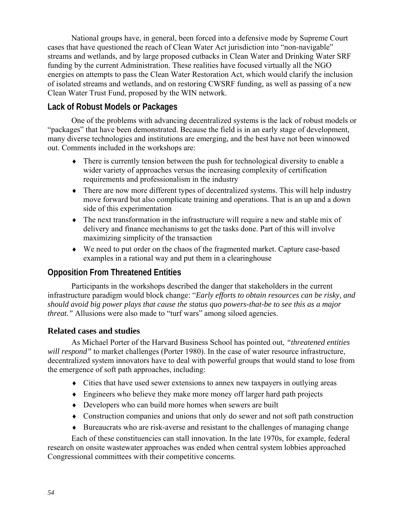National groups have, in general, been forced into a defensive mode by Supreme Court cases that have questioned the reach of Clean Water Act jurisdiction into "non-navigable" streams and wetlands, and by large proposed cutbacks in Clean Water and Drinking Water SRF funding by the current Administration. These realities have focused virtually all the NGO energies on attempts to pass the Clean Water Restoration Act, which would clarify the inclusion of isolated streams and wetlands, and on restoring CWSRF funding, as well as passing of a new Clean Water Trust Fund, proposed by the WIN network.

# **Lack of Robust Models or Packages**

One of the problems with advancing decentralized systems is the lack of robust models or "packages" that have been demonstrated. Because the field is in an early stage of development, many diverse technologies and institutions are emerging, and the best have not been winnowed out. Comments included in the workshops are:

- ♦ There is currently tension between the push for technological diversity to enable a wider variety of approaches versus the increasing complexity of certification requirements and professionalism in the industry
- ♦ There are now more different types of decentralized systems. This will help industry move forward but also complicate training and operations. That is an up and a down side of this experimentation
- ♦ The next transformation in the infrastructure will require a new and stable mix of delivery and finance mechanisms to get the tasks done. Part of this will involve maximizing simplicity of the transaction
- ♦ We need to put order on the chaos of the fragmented market. Capture case-based examples in a rational way and put them in a clearinghouse

# **Opposition From Threatened Entities**

Participants in the workshops described the danger that stakeholders in the current infrastructure paradigm would block change: "*Early efforts to obtain resources can be risky, and should avoid big power plays that cause the status quo powers-that-be to see this as a major threat.*" Allusions were also made to "turf wars" among siloed agencies.

# **Related cases and studies**

As Michael Porter of the Harvard Business School has pointed out, *"threatened entities*  will respond" to market challenges (Porter 1980). In the case of water resource infrastructure, decentralized system innovators have to deal with powerful groups that would stand to lose from the emergence of soft path approaches, including:

- ♦ Cities that have used sewer extensions to annex new taxpayers in outlying areas
- ♦ Engineers who believe they make more money off larger hard path projects
- ♦ Developers who can build more homes when sewers are built
- ♦ Construction companies and unions that only do sewer and not soft path construction
- ♦ Bureaucrats who are risk-averse and resistant to the challenges of managing change

Each of these constituencies can stall innovation. In the late 1970s, for example, federal research on onsite wastewater approaches was ended when central system lobbies approached Congressional committees with their competitive concerns.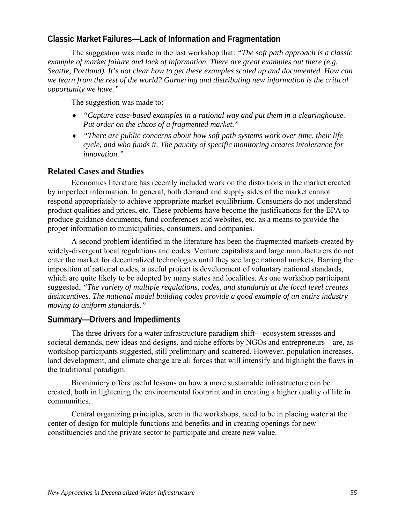# **Classic Market Failures—Lack of Information and Fragmentation**

The suggestion was made in the last workshop that: *"The soft path approach is a classic example of market failure and lack of information. There are great examples out there (e.g. Seattle, Portland). It's not clear how to get these examples scaled up and documented. How can we learn from the rest of the world? Garnering and distributing new information is the critical opportunity we have."*

The suggestion was made to:

- ♦ *"Capture case-based examples in a rational way and put them in a clearinghouse. Put order on the chaos of a fragmented market."*
- ♦ *"There are public concerns about how soft path systems work over time, their life cycle, and who funds it. The paucity of specific monitoring creates intolerance for innovation."*

### **Related Cases and Studies**

Economics literature has recently included work on the distortions in the market created by imperfect information. In general, both demand and supply sides of the market cannot respond appropriately to achieve appropriate market equilibrium. Consumers do not understand product qualities and prices, etc. These problems have become the justifications for the EPA to produce guidance documents, fund conferences and websites, etc. as a means to provide the proper information to municipalities, consumers, and companies.

A second problem identified in the literature has been the fragmented markets created by widely-divergent local regulations and codes. Venture capitalists and large manufacturers do not enter the market for decentralized technologies until they see large national markets. Barring the imposition of national codes, a useful project is development of voluntary national standards, which are quite likely to be adopted by many states and localities. As one workshop participant suggested, *"The variety of multiple regulations, codes, and standards at the local level creates disincentives. The national model building codes provide a good example of an entire industry moving to uniform standards."* 

# **Summary—Drivers and Impediments**

The three drivers for a water infrastructure paradigm shift—ecosystem stresses and societal demands, new ideas and designs, and niche efforts by NGOs and entrepreneurs—are, as workshop participants suggested, still preliminary and scattered. However, population increases, land development, and climate change are all forces that will intensify and highlight the flaws in the traditional paradigm.

Biomimicry offers useful lessons on how a more sustainable infrastructure can be created, both in lightening the environmental footprint and in creating a higher quality of life in communities.

Central organizing principles, seen in the workshops, need to be in placing water at the center of design for multiple functions and benefits and in creating openings for new constituencies and the private sector to participate and create new value.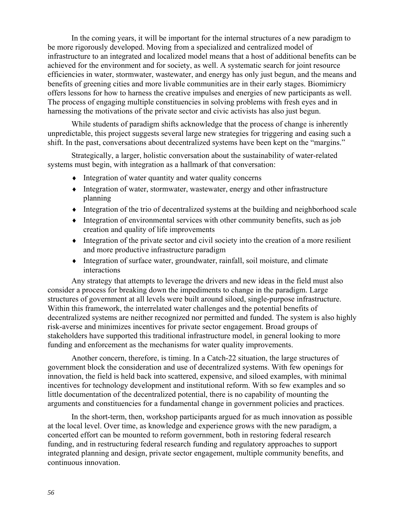In the coming years, it will be important for the internal structures of a new paradigm to be more rigorously developed. Moving from a specialized and centralized model of infrastructure to an integrated and localized model means that a host of additional benefits can be achieved for the environment and for society, as well. A systematic search for joint resource efficiencies in water, stormwater, wastewater, and energy has only just begun, and the means and benefits of greening cities and more livable communities are in their early stages. Biomimicry offers lessons for how to harness the creative impulses and energies of new participants as well. The process of engaging multiple constituencies in solving problems with fresh eyes and in harnessing the motivations of the private sector and civic activists has also just begun.

While students of paradigm shifts acknowledge that the process of change is inherently unpredictable, this project suggests several large new strategies for triggering and easing such a shift. In the past, conversations about decentralized systems have been kept on the "margins."

Strategically, a larger, holistic conversation about the sustainability of water-related systems must begin, with integration as a hallmark of that conversation:

- ♦ Integration of water quantity and water quality concerns
- ♦ Integration of water, stormwater, wastewater, energy and other infrastructure planning
- ♦ Integration of the trio of decentralized systems at the building and neighborhood scale
- ♦ Integration of environmental services with other community benefits, such as job creation and quality of life improvements
- ♦ Integration of the private sector and civil society into the creation of a more resilient and more productive infrastructure paradigm
- ♦ Integration of surface water, groundwater, rainfall, soil moisture, and climate interactions

Any strategy that attempts to leverage the drivers and new ideas in the field must also consider a process for breaking down the impediments to change in the paradigm. Large structures of government at all levels were built around siloed, single-purpose infrastructure. Within this framework, the interrelated water challenges and the potential benefits of decentralized systems are neither recognized nor permitted and funded. The system is also highly risk-averse and minimizes incentives for private sector engagement. Broad groups of stakeholders have supported this traditional infrastructure model, in general looking to more funding and enforcement as the mechanisms for water quality improvements.

Another concern, therefore, is timing. In a Catch-22 situation, the large structures of government block the consideration and use of decentralized systems. With few openings for innovation, the field is held back into scattered, expensive, and siloed examples, with minimal incentives for technology development and institutional reform. With so few examples and so little documentation of the decentralized potential, there is no capability of mounting the arguments and constituencies for a fundamental change in government policies and practices.

In the short-term, then, workshop participants argued for as much innovation as possible at the local level. Over time, as knowledge and experience grows with the new paradigm, a concerted effort can be mounted to reform government, both in restoring federal research funding, and in restructuring federal research funding and regulatory approaches to support integrated planning and design, private sector engagement, multiple community benefits, and continuous innovation.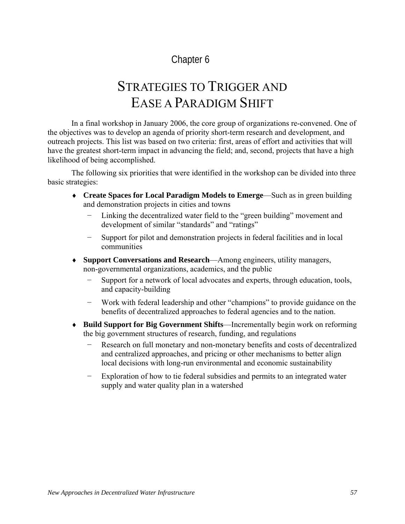# Chapter 6

# STRATEGIES TO TRIGGER AND EASE A PARADIGM SHIFT

In a final workshop in January 2006, the core group of organizations re-convened. One of the objectives was to develop an agenda of priority short-term research and development, and outreach projects. This list was based on two criteria: first, areas of effort and activities that will have the greatest short-term impact in advancing the field; and, second, projects that have a high likelihood of being accomplished.

The following six priorities that were identified in the workshop can be divided into three basic strategies:

- ♦ **Create Spaces for Local Paradigm Models to Emerge**—Such as in green building and demonstration projects in cities and towns
	- Linking the decentralized water field to the "green building" movement and development of similar "standards" and "ratings"
	- − Support for pilot and demonstration projects in federal facilities and in local communities
- ♦ **Support Conversations and Research**—Among engineers, utility managers, non-governmental organizations, academics, and the public
	- Support for a network of local advocates and experts, through education, tools, and capacity-building
	- − Work with federal leadership and other "champions" to provide guidance on the benefits of decentralized approaches to federal agencies and to the nation.
- ♦ **Build Support for Big Government Shifts**—Incrementally begin work on reforming the big government structures of research, funding, and regulations
	- − Research on full monetary and non-monetary benefits and costs of decentralized and centralized approaches, and pricing or other mechanisms to better align local decisions with long-run environmental and economic sustainability
	- Exploration of how to tie federal subsidies and permits to an integrated water supply and water quality plan in a watershed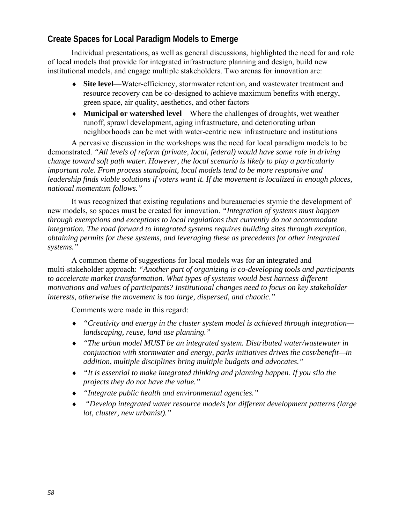# **Create Spaces for Local Paradigm Models to Emerge**

Individual presentations, as well as general discussions, highlighted the need for and role of local models that provide for integrated infrastructure planning and design, build new institutional models, and engage multiple stakeholders. Two arenas for innovation are:

- ♦ **Site level**—Water-efficiency, stormwater retention, and wastewater treatment and resource recovery can be co-designed to achieve maximum benefits with energy, green space, air quality, aesthetics, and other factors
- ♦ **Municipal or watershed level**—Where the challenges of droughts, wet weather runoff, sprawl development, aging infrastructure, and deteriorating urban neighborhoods can be met with water-centric new infrastructure and institutions

A pervasive discussion in the workshops was the need for local paradigm models to be demonstrated. *"All levels of reform (private, local, federal) would have some role in driving change toward soft path water. However, the local scenario is likely to play a particularly important role. From process standpoint, local models tend to be more responsive and leadership finds viable solutions if voters want it. If the movement is localized in enough places, national momentum follows."*

It was recognized that existing regulations and bureaucracies stymie the development of new models, so spaces must be created for innovation. *"Integration of systems must happen through exemptions and exceptions to local regulations that currently do not accommodate integration. The road forward to integrated systems requires building sites through exception, obtaining permits for these systems, and leveraging these as precedents for other integrated systems."*

A common theme of suggestions for local models was for an integrated and multi-stakeholder approach: *"Another part of organizing is co-developing tools and participants to accelerate market transformation. What types of systems would best harness different motivations and values of participants? Institutional changes need to focus on key stakeholder interests, otherwise the movement is too large, dispersed, and chaotic."* 

Comments were made in this regard:

- ♦ *"Creativity and energy in the cluster system model is achieved through integration landscaping, reuse, land use planning."*
- ♦ *"The urban model MUST be an integrated system. Distributed water/wastewater in conjunction with stormwater and energy, parks initiatives drives the cost/benefit—in addition, multiple disciplines bring multiple budgets and advocates."*
- ♦ *"It is essential to make integrated thinking and planning happen. If you silo the projects they do not have the value."*
- ♦ *"Integrate public health and environmental agencies."*
- ♦ *"Develop integrated water resource models for different development patterns (large lot, cluster, new urbanist)."*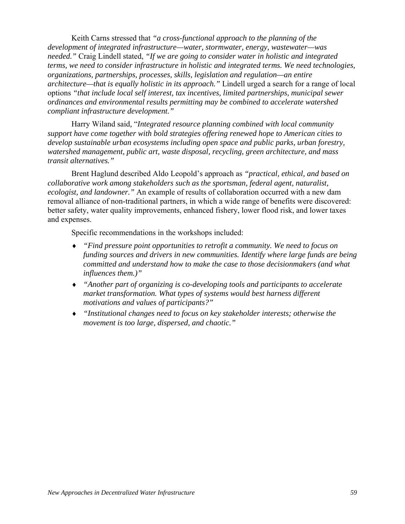Keith Carns stressed that *"a cross-functional approach to the planning of the development of integrated infrastructure—water, stormwater, energy, wastewater—was needed."* Craig Lindell stated, *"If we are going to consider water in holistic and integrated terms, we need to consider infrastructure in holistic and integrated terms. We need technologies, organizations, partnerships, processes, skills, legislation and regulation—an entire architecture—that is equally holistic in its approach."* Lindell urged a search for a range of local options *"that include local self interest, tax incentives, limited partnerships, municipal sewer ordinances and environmental results permitting may be combined to accelerate watershed compliant infrastructure development."*

Harry Wiland said*,* "*Integrated resource planning combined with local community support have come together with bold strategies offering renewed hope to American cities to develop sustainable urban ecosystems including open space and public parks, urban forestry, watershed management, public art, waste disposal, recycling, green architecture, and mass transit alternatives."* 

Brent Haglund described Aldo Leopold's approach as *"practical, ethical, and based on collaborative work among stakeholders such as the sportsman, federal agent, naturalist, ecologist, and landowner."* An example of results of collaboration occurred with a new dam removal alliance of non-traditional partners, in which a wide range of benefits were discovered: better safety, water quality improvements, enhanced fishery, lower flood risk, and lower taxes and expenses.

Specific recommendations in the workshops included:

- ♦ *"Find pressure point opportunities to retrofit a community. We need to focus on funding sources and drivers in new communities. Identify where large funds are being committed and understand how to make the case to those decisionmakers (and what influences them.)"*
- ♦ *"Another part of organizing is co-developing tools and participants to accelerate market transformation. What types of systems would best harness different motivations and values of participants?"*
- ♦ *"Institutional changes need to focus on key stakeholder interests; otherwise the movement is too large, dispersed, and chaotic."*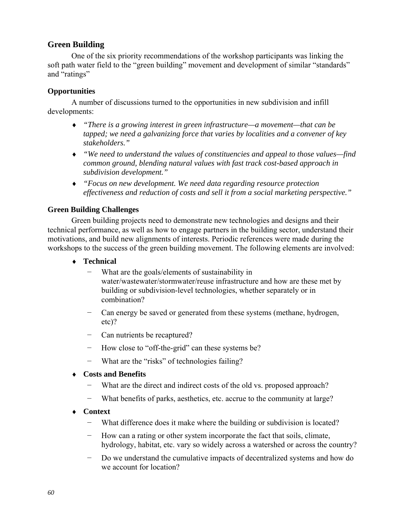# **Green Building**

One of the six priority recommendations of the workshop participants was linking the soft path water field to the "green building" movement and development of similar "standards" and "ratings"

### **Opportunities**

A number of discussions turned to the opportunities in new subdivision and infill developments:

- ♦ *"There is a growing interest in green infrastructure—a movement—that can be tapped; we need a galvanizing force that varies by localities and a convener of key stakeholders."*
- ♦ *"We need to understand the values of constituencies and appeal to those values—find common ground, blending natural values with fast track cost-based approach in subdivision development."*
- ♦ *"Focus on new development. We need data regarding resource protection effectiveness and reduction of costs and sell it from a social marketing perspective."*

### **Green Building Challenges**

Green building projects need to demonstrate new technologies and designs and their technical performance, as well as how to engage partners in the building sector, understand their motivations, and build new alignments of interests. Periodic references were made during the workshops to the success of the green building movement. The following elements are involved:

- ♦ **Technical** 
	- − What are the goals/elements of sustainability in water/wastewater/stormwater/reuse infrastructure and how are these met by building or subdivision-level technologies, whether separately or in combination?
	- − Can energy be saved or generated from these systems (methane, hydrogen, etc)?
	- − Can nutrients be recaptured?
	- − How close to "off-the-grid" can these systems be?
	- − What are the "risks" of technologies failing?

### ♦ **Costs and Benefits**

- What are the direct and indirect costs of the old vs. proposed approach?
- − What benefits of parks, aesthetics, etc. accrue to the community at large?
- ♦ **Context** 
	- − What difference does it make where the building or subdivision is located?
	- − How can a rating or other system incorporate the fact that soils, climate, hydrology, habitat, etc. vary so widely across a watershed or across the country?
	- Do we understand the cumulative impacts of decentralized systems and how do we account for location?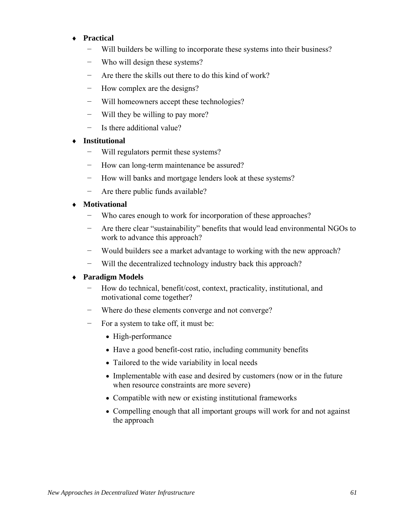### ♦ **Practical**

- − Will builders be willing to incorporate these systems into their business?
- Who will design these systems?
- − Are there the skills out there to do this kind of work?
- − How complex are the designs?
- Will homeowners accept these technologies?
- − Will they be willing to pay more?
- − Is there additional value?

### **Institutional**

- − Will regulators permit these systems?
- − How can long-term maintenance be assured?
- − How will banks and mortgage lenders look at these systems?
- − Are there public funds available?
- **Motivational** 
	- − Who cares enough to work for incorporation of these approaches?
	- − Are there clear "sustainability" benefits that would lead environmental NGOs to work to advance this approach?
	- Would builders see a market advantage to working with the new approach?
	- − Will the decentralized technology industry back this approach?

### ♦ **Paradigm Models**

- − How do technical, benefit/cost, context, practicality, institutional, and motivational come together?
- − Where do these elements converge and not converge?
- − For a system to take off, it must be:
	- High-performance
	- Have a good benefit-cost ratio, including community benefits
	- Tailored to the wide variability in local needs
	- Implementable with ease and desired by customers (now or in the future when resource constraints are more severe)
	- Compatible with new or existing institutional frameworks
	- Compelling enough that all important groups will work for and not against the approach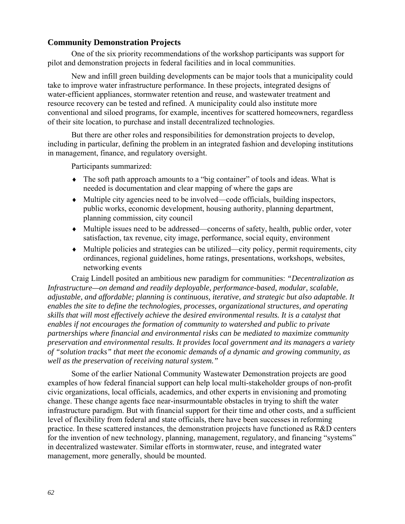### **Community Demonstration Projects**

One of the six priority recommendations of the workshop participants was support for pilot and demonstration projects in federal facilities and in local communities.

New and infill green building developments can be major tools that a municipality could take to improve water infrastructure performance. In these projects, integrated designs of water-efficient appliances, stormwater retention and reuse, and wastewater treatment and resource recovery can be tested and refined. A municipality could also institute more conventional and siloed programs, for example, incentives for scattered homeowners, regardless of their site location, to purchase and install decentralized technologies.

But there are other roles and responsibilities for demonstration projects to develop, including in particular, defining the problem in an integrated fashion and developing institutions in management, finance, and regulatory oversight.

Participants summarized:

- ♦ The soft path approach amounts to a "big container" of tools and ideas. What is needed is documentation and clear mapping of where the gaps are
- ♦ Multiple city agencies need to be involved—code officials, building inspectors, public works, economic development, housing authority, planning department, planning commission, city council
- ♦ Multiple issues need to be addressed—concerns of safety, health, public order, voter satisfaction, tax revenue, city image, performance, social equity, environment
- ♦ Multiple policies and strategies can be utilized—city policy, permit requirements, city ordinances, regional guidelines, home ratings, presentations, workshops, websites, networking events

Craig Lindell posited an ambitious new paradigm for communities: *"Decentralization as Infrastructure—on demand and readily deployable, performance-based, modular, scalable, adjustable, and affordable; planning is continuous, iterative, and strategic but also adaptable. It enables the site to define the technologies, processes, organizational structures, and operating skills that will most effectively achieve the desired environmental results. It is a catalyst that enables if not encourages the formation of community to watershed and public to private partnerships where financial and environmental risks can be mediated to maximize community preservation and environmental results. It provides local government and its managers a variety of "solution tracks" that meet the economic demands of a dynamic and growing community, as well as the preservation of receiving natural system."* 

Some of the earlier National Community Wastewater Demonstration projects are good examples of how federal financial support can help local multi-stakeholder groups of non-profit civic organizations, local officials, academics, and other experts in envisioning and promoting change. These change agents face near-insurmountable obstacles in trying to shift the water infrastructure paradigm. But with financial support for their time and other costs, and a sufficient level of flexibility from federal and state officials, there have been successes in reforming practice. In these scattered instances, the demonstration projects have functioned as R&D centers for the invention of new technology, planning, management, regulatory, and financing "systems" in decentralized wastewater. Similar efforts in stormwater, reuse, and integrated water management, more generally, should be mounted.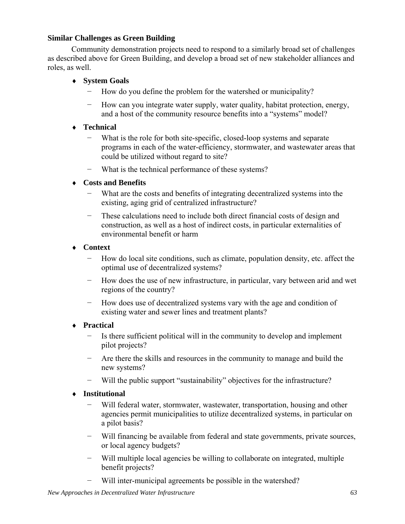### **Similar Challenges as Green Building**

Community demonstration projects need to respond to a similarly broad set of challenges as described above for Green Building, and develop a broad set of new stakeholder alliances and roles, as well.

### ♦ **System Goals**

- How do you define the problem for the watershed or municipality?
- − How can you integrate water supply, water quality, habitat protection, energy, and a host of the community resource benefits into a "systems" model?

### ♦ **Technical**

- − What is the role for both site-specific, closed-loop systems and separate programs in each of the water-efficiency, stormwater, and wastewater areas that could be utilized without regard to site?
- − What is the technical performance of these systems?

# ♦ **Costs and Benefits**

- − What are the costs and benefits of integrating decentralized systems into the existing, aging grid of centralized infrastructure?
- − These calculations need to include both direct financial costs of design and construction, as well as a host of indirect costs, in particular externalities of environmental benefit or harm
- ♦ **Context** 
	- − How do local site conditions, such as climate, population density, etc. affect the optimal use of decentralized systems?
	- − How does the use of new infrastructure, in particular, vary between arid and wet regions of the country?
	- − How does use of decentralized systems vary with the age and condition of existing water and sewer lines and treatment plants?

# ♦ **Practical**

- Is there sufficient political will in the community to develop and implement pilot projects?
- − Are there the skills and resources in the community to manage and build the new systems?
- − Will the public support "sustainability" objectives for the infrastructure?

# ♦ **Institutional**

- Will federal water, stormwater, wastewater, transportation, housing and other agencies permit municipalities to utilize decentralized systems, in particular on a pilot basis?
- Will financing be available from federal and state governments, private sources, or local agency budgets?
- − Will multiple local agencies be willing to collaborate on integrated, multiple benefit projects?
- Will inter-municipal agreements be possible in the watershed?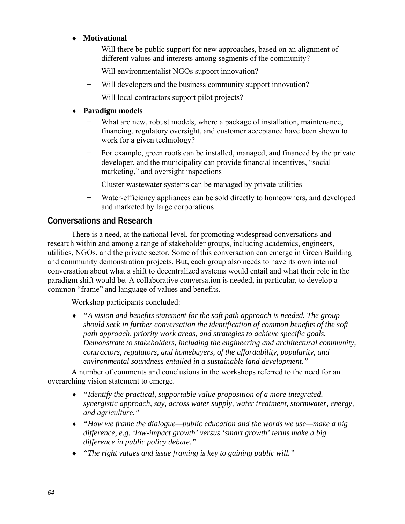### ♦ **Motivational**

- Will there be public support for new approaches, based on an alignment of different values and interests among segments of the community?
- − Will environmentalist NGOs support innovation?
- Will developers and the business community support innovation?
- − Will local contractors support pilot projects?

### ♦ **Paradigm models**

- What are new, robust models, where a package of installation, maintenance, financing, regulatory oversight, and customer acceptance have been shown to work for a given technology?
- − For example, green roofs can be installed, managed, and financed by the private developer, and the municipality can provide financial incentives, "social marketing," and oversight inspections
- − Cluster wastewater systems can be managed by private utilities
- Water-efficiency appliances can be sold directly to homeowners, and developed and marketed by large corporations

# **Conversations and Research**

There is a need, at the national level, for promoting widespread conversations and research within and among a range of stakeholder groups, including academics, engineers, utilities, NGOs, and the private sector. Some of this conversation can emerge in Green Building and community demonstration projects. But, each group also needs to have its own internal conversation about what a shift to decentralized systems would entail and what their role in the paradigm shift would be. A collaborative conversation is needed, in particular, to develop a common "frame" and language of values and benefits.

Workshop participants concluded:

♦ *"A vision and benefits statement for the soft path approach is needed. The group should seek in further conversation the identification of common benefits of the soft path approach, priority work areas, and strategies to achieve specific goals. Demonstrate to stakeholders, including the engineering and architectural community, contractors, regulators, and homebuyers, of the affordability, popularity, and environmental soundness entailed in a sustainable land development."* 

A number of comments and conclusions in the workshops referred to the need for an overarching vision statement to emerge.

- ♦ *"Identify the practical, supportable value proposition of a more integrated, synergistic approach, say, across water supply, water treatment, stormwater, energy, and agriculture."*
- ♦ *"How we frame the dialogue—public education and the words we use—make a big difference, e.g. 'low-impact growth' versus 'smart growth' terms make a big difference in public policy debate."*
- ♦ *"The right values and issue framing is key to gaining public will."*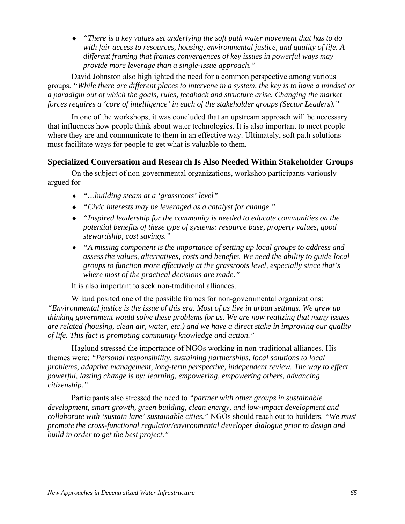♦ *"There is a key values set underlying the soft path water movement that has to do with fair access to resources, housing, environmental justice, and quality of life. A different framing that frames convergences of key issues in powerful ways may provide more leverage than a single-issue approach."* 

David Johnston also highlighted the need for a common perspective among various groups. *"While there are different places to intervene in a system, the key is to have a mindset or a paradigm out of which the goals, rules, feedback and structure arise. Changing the market forces requires a 'core of intelligence' in each of the stakeholder groups (Sector Leaders)."*

In one of the workshops, it was concluded that an upstream approach will be necessary that influences how people think about water technologies. It is also important to meet people where they are and communicate to them in an effective way. Ultimately, soft path solutions must facilitate ways for people to get what is valuable to them.

### **Specialized Conversation and Research Is Also Needed Within Stakeholder Groups**

On the subject of non-governmental organizations, workshop participants variously argued for

- ♦ *"…building steam at a 'grassroots' level"*
- ♦ *"Civic interests may be leveraged as a catalyst for change."*
- ♦ *"Inspired leadership for the community is needed to educate communities on the potential benefits of these type of systems: resource base, property values, good stewardship, cost savings."*
- ♦ *"A missing component is the importance of setting up local groups to address and assess the values, alternatives, costs and benefits. We need the ability to guide local groups to function more effectively at the grassroots level, especially since that's where most of the practical decisions are made."*

It is also important to seek non-traditional alliances.

Wiland posited one of the possible frames for non-governmental organizations: *"Environmental justice is the issue of this era. Most of us live in urban settings. We grew up thinking government would solve these problems for us. We are now realizing that many issues are related (housing, clean air, water, etc.) and we have a direct stake in improving our quality of life. This fact is promoting community knowledge and action."* 

Haglund stressed the importance of NGOs working in non-traditional alliances. His themes were: *"Personal responsibility, sustaining partnerships, local solutions to local problems, adaptive management, long-term perspective, independent review. The way to effect powerful, lasting change is by: learning, empowering, empowering others, advancing citizenship."*

Participants also stressed the need to *"partner with other groups in sustainable development, smart growth, green building, clean energy, and low-impact development and collaborate with 'sustain lane' sustainable cities."* NGOs should reach out to builders. *"We must promote the cross-functional regulator/environmental developer dialogue prior to design and build in order to get the best project."*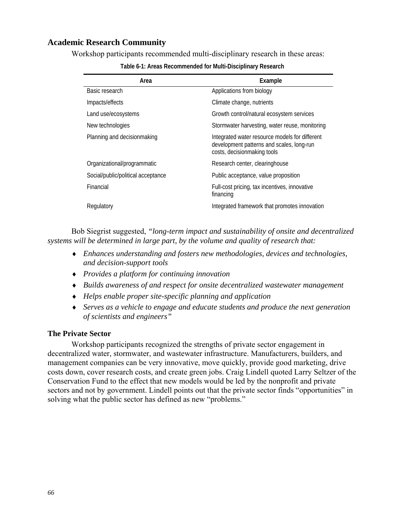### **Academic Research Community**

Workshop participants recommended multi-disciplinary research in these areas:

| Area                               | Example                                                                                                                    |
|------------------------------------|----------------------------------------------------------------------------------------------------------------------------|
| Basic research                     | Applications from biology                                                                                                  |
| Impacts/effects                    | Climate change, nutrients                                                                                                  |
| Land use/ecosystems                | Growth control/natural ecosystem services                                                                                  |
| New technologies                   | Stormwater harvesting, water reuse, monitoring                                                                             |
| Planning and decisionmaking        | Integrated water resource models for different<br>development patterns and scales, long-run<br>costs, decisionmaking tools |
| Organizational/programmatic        | Research center, clearinghouse                                                                                             |
| Social/public/political acceptance | Public acceptance, value proposition                                                                                       |
| Financial                          | Full-cost pricing, tax incentives, innovative<br>financing                                                                 |
| Regulatory                         | Integrated framework that promotes innovation                                                                              |

**Table 6-1: Areas Recommended for Multi-Disciplinary Research** 

Bob Siegrist suggested, *"long-term impact and sustainability of onsite and decentralized systems will be determined in large part, by the volume and quality of research that:* 

- ♦ *Enhances understanding and fosters new methodologies, devices and technologies, and decision-support tools*
- ♦ *Provides a platform for continuing innovation*
- ♦ *Builds awareness of and respect for onsite decentralized wastewater management*
- ♦ *Helps enable proper site-specific planning and application*
- ♦ *Serves as a vehicle to engage and educate students and produce the next generation of scientists and engineers"*

### **The Private Sector**

Workshop participants recognized the strengths of private sector engagement in decentralized water, stormwater, and wastewater infrastructure. Manufacturers, builders, and management companies can be very innovative, move quickly, provide good marketing, drive costs down, cover research costs, and create green jobs. Craig Lindell quoted Larry Seltzer of the Conservation Fund to the effect that new models would be led by the nonprofit and private sectors and not by government. Lindell points out that the private sector finds "opportunities" in solving what the public sector has defined as new "problems."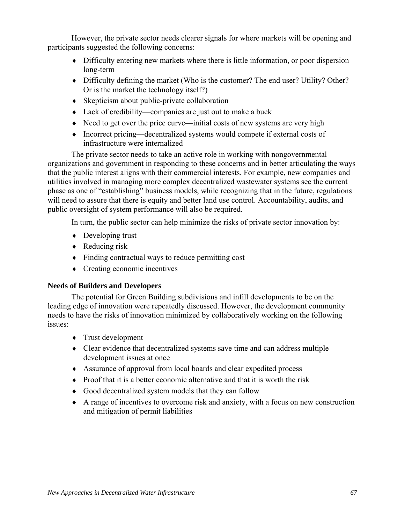However, the private sector needs clearer signals for where markets will be opening and participants suggested the following concerns:

- ♦ Difficulty entering new markets where there is little information, or poor dispersion long-term
- ♦ Difficulty defining the market (Who is the customer? The end user? Utility? Other? Or is the market the technology itself?)
- ♦ Skepticism about public-private collaboration
- ♦ Lack of credibility—companies are just out to make a buck
- ♦ Need to get over the price curve—initial costs of new systems are very high
- ♦ Incorrect pricing—decentralized systems would compete if external costs of infrastructure were internalized

The private sector needs to take an active role in working with nongovernmental organizations and government in responding to these concerns and in better articulating the ways that the public interest aligns with their commercial interests. For example, new companies and utilities involved in managing more complex decentralized wastewater systems see the current phase as one of "establishing" business models, while recognizing that in the future, regulations will need to assure that there is equity and better land use control. Accountability, audits, and public oversight of system performance will also be required.

In turn, the public sector can help minimize the risks of private sector innovation by:

- $\rightarrow$  Developing trust
- $\triangleleft$  Reducing risk
- ♦ Finding contractual ways to reduce permitting cost
- ♦ Creating economic incentives

### **Needs of Builders and Developers**

The potential for Green Building subdivisions and infill developments to be on the leading edge of innovation were repeatedly discussed. However, the development community needs to have the risks of innovation minimized by collaboratively working on the following issues:

- ♦ Trust development
- ♦ Clear evidence that decentralized systems save time and can address multiple development issues at once
- ♦ Assurance of approval from local boards and clear expedited process
- ♦ Proof that it is a better economic alternative and that it is worth the risk
- ♦ Good decentralized system models that they can follow
- ♦ A range of incentives to overcome risk and anxiety, with a focus on new construction and mitigation of permit liabilities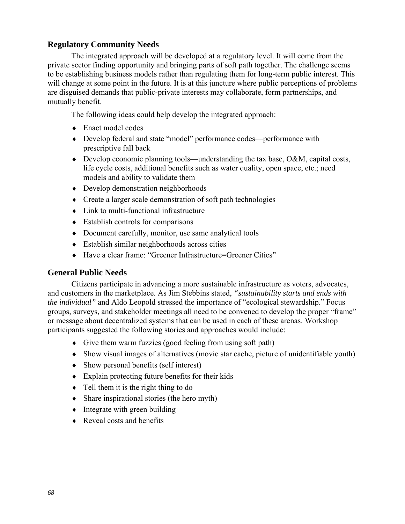### **Regulatory Community Needs**

The integrated approach will be developed at a regulatory level. It will come from the private sector finding opportunity and bringing parts of soft path together. The challenge seems to be establishing business models rather than regulating them for long-term public interest. This will change at some point in the future. It is at this juncture where public perceptions of problems are disguised demands that public-private interests may collaborate, form partnerships, and mutually benefit.

The following ideas could help develop the integrated approach:

- ♦ Enact model codes
- ♦ Develop federal and state "model" performance codes—performance with prescriptive fall back
- $\bullet$  Develop economic planning tools—understanding the tax base, O&M, capital costs, life cycle costs, additional benefits such as water quality, open space, etc.; need models and ability to validate them
- ♦ Develop demonstration neighborhoods
- ♦ Create a larger scale demonstration of soft path technologies
- ♦ Link to multi-functional infrastructure
- $\triangleleft$  Establish controls for comparisons
- ♦ Document carefully, monitor, use same analytical tools
- ♦ Establish similar neighborhoods across cities
- ♦ Have a clear frame: "Greener Infrastructure=Greener Cities"

### **General Public Needs**

Citizens participate in advancing a more sustainable infrastructure as voters, advocates, and customers in the marketplace. As Jim Stebbins stated, *"sustainability starts and ends with the individual"* and Aldo Leopold stressed the importance of "ecological stewardship." Focus groups, surveys, and stakeholder meetings all need to be convened to develop the proper "frame" or message about decentralized systems that can be used in each of these arenas. Workshop participants suggested the following stories and approaches would include:

- ♦ Give them warm fuzzies (good feeling from using soft path)
- ♦ Show visual images of alternatives (movie star cache, picture of unidentifiable youth)
- ♦ Show personal benefits (self interest)
- $\triangle$  Explain protecting future benefits for their kids
- $\bullet$  Tell them it is the right thing to do
- ♦ Share inspirational stories (the hero myth)
- Integrate with green building
- $\triangle$  Reveal costs and benefits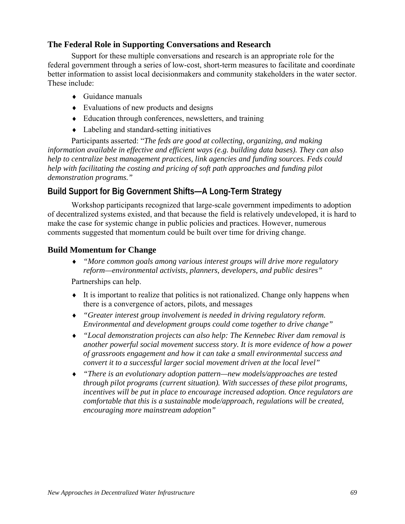### **The Federal Role in Supporting Conversations and Research**

Support for these multiple conversations and research is an appropriate role for the federal government through a series of low-cost, short-term measures to facilitate and coordinate better information to assist local decisionmakers and community stakeholders in the water sector. These include:

- $\leftarrow$  Guidance manuals
- ♦ Evaluations of new products and designs
- ♦ Education through conferences, newsletters, and training
- ♦ Labeling and standard-setting initiatives

Participants asserted: "*The feds are good at collecting, organizing, and making information available in effective and efficient ways (e.g. building data bases). They can also help to centralize best management practices, link agencies and funding sources. Feds could help with facilitating the costing and pricing of soft path approaches and funding pilot demonstration programs."* 

# **Build Support for Big Government Shifts—A Long-Term Strategy**

Workshop participants recognized that large-scale government impediments to adoption of decentralized systems existed, and that because the field is relatively undeveloped, it is hard to make the case for systemic change in public policies and practices. However, numerous comments suggested that momentum could be built over time for driving change.

### **Build Momentum for Change**

♦ *"More common goals among various interest groups will drive more regulatory reform—environmental activists, planners, developers, and public desires"* 

Partnerships can help.

- ♦ It is important to realize that politics is not rationalized. Change only happens when there is a convergence of actors, pilots, and messages
- ♦ *"Greater interest group involvement is needed in driving regulatory reform. Environmental and development groups could come together to drive change"*
- ♦ *"Local demonstration projects can also help: The Kennebec River dam removal is another powerful social movement success story. It is more evidence of how a power of grassroots engagement and how it can take a small environmental success and convert it to a successful larger social movement driven at the local level"*
- ♦ *"There is an evolutionary adoption pattern—new models/approaches are tested through pilot programs (current situation). With successes of these pilot programs, incentives will be put in place to encourage increased adoption. Once regulators are comfortable that this is a sustainable mode/approach, regulations will be created, encouraging more mainstream adoption"*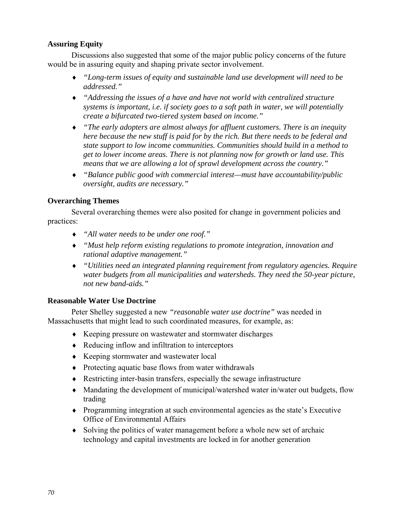### **Assuring Equity**

Discussions also suggested that some of the major public policy concerns of the future would be in assuring equity and shaping private sector involvement.

- ♦ *"Long-term issues of equity and sustainable land use development will need to be addressed."*
- ♦ *"Addressing the issues of a have and have not world with centralized structure systems is important, i.e. if society goes to a soft path in water, we will potentially create a bifurcated two-tiered system based on income."*
- ♦ *"The early adopters are almost always for affluent customers. There is an inequity here because the new stuff is paid for by the rich. But there needs to be federal and state support to low income communities. Communities should build in a method to get to lower income areas. There is not planning now for growth or land use. This means that we are allowing a lot of sprawl development across the country."*
- ♦ *"Balance public good with commercial interest—must have accountability/public oversight, audits are necessary."*

### **Overarching Themes**

Several overarching themes were also posited for change in government policies and practices:

- ♦ *"All water needs to be under one roof."*
- ♦ *"Must help reform existing regulations to promote integration, innovation and rational adaptive management."*
- ♦ *"Utilities need an integrated planning requirement from regulatory agencies. Require water budgets from all municipalities and watersheds. They need the 50-year picture, not new band-aids."*

### **Reasonable Water Use Doctrine**

Peter Shelley suggested a new *"reasonable water use doctrine"* was needed in Massachusetts that might lead to such coordinated measures, for example, as:

- ♦ Keeping pressure on wastewater and stormwater discharges
- ♦ Reducing inflow and infiltration to interceptors
- ♦ Keeping stormwater and wastewater local
- ♦ Protecting aquatic base flows from water withdrawals
- ♦ Restricting inter-basin transfers, especially the sewage infrastructure
- ♦ Mandating the development of municipal/watershed water in/water out budgets, flow trading
- ♦ Programming integration at such environmental agencies as the state's Executive Office of Environmental Affairs
- ♦ Solving the politics of water management before a whole new set of archaic technology and capital investments are locked in for another generation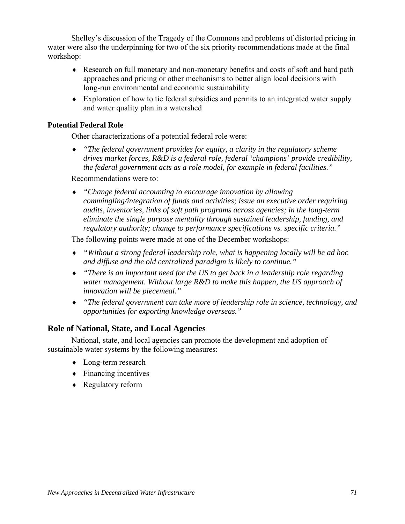Shelley's discussion of the Tragedy of the Commons and problems of distorted pricing in water were also the underpinning for two of the six priority recommendations made at the final workshop:

- ♦ Research on full monetary and non-monetary benefits and costs of soft and hard path approaches and pricing or other mechanisms to better align local decisions with long-run environmental and economic sustainability
- ♦ Exploration of how to tie federal subsidies and permits to an integrated water supply and water quality plan in a watershed

### **Potential Federal Role**

Other characterizations of a potential federal role were:

♦ *"The federal government provides for equity, a clarity in the regulatory scheme drives market forces, R&D is a federal role, federal 'champions' provide credibility, the federal government acts as a role model, for example in federal facilities."* 

Recommendations were to:

♦ *"Change federal accounting to encourage innovation by allowing commingling/integration of funds and activities; issue an executive order requiring audits, inventories, links of soft path programs across agencies; in the long-term eliminate the single purpose mentality through sustained leadership, funding, and regulatory authority; change to performance specifications vs. specific criteria."* 

The following points were made at one of the December workshops:

- ♦ *"Without a strong federal leadership role, what is happening locally will be ad hoc and diffuse and the old centralized paradigm is likely to continue."*
- ♦ *"There is an important need for the US to get back in a leadership role regarding water management. Without large R&D to make this happen, the US approach of innovation will be piecemeal."*
- ♦ *"The federal government can take more of leadership role in science, technology, and opportunities for exporting knowledge overseas."*

# **Role of National, State, and Local Agencies**

National, state, and local agencies can promote the development and adoption of sustainable water systems by the following measures:

- ♦ Long-term research
- $\leftarrow$  Financing incentives
- ♦ Regulatory reform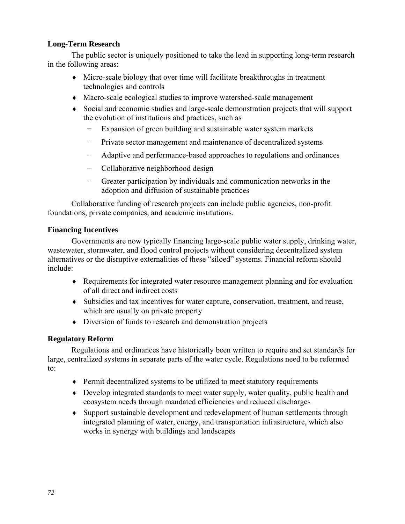### **Long-Term Research**

The public sector is uniquely positioned to take the lead in supporting long-term research in the following areas:

- ♦ Micro-scale biology that over time will facilitate breakthroughs in treatment technologies and controls
- ♦ Macro-scale ecological studies to improve watershed-scale management
- ♦ Social and economic studies and large-scale demonstration projects that will support the evolution of institutions and practices, such as
	- − Expansion of green building and sustainable water system markets
	- − Private sector management and maintenance of decentralized systems
	- − Adaptive and performance-based approaches to regulations and ordinances
	- − Collaborative neighborhood design
	- − Greater participation by individuals and communication networks in the adoption and diffusion of sustainable practices

Collaborative funding of research projects can include public agencies, non-profit foundations, private companies, and academic institutions.

### **Financing Incentives**

Governments are now typically financing large-scale public water supply, drinking water, wastewater, stormwater, and flood control projects without considering decentralized system alternatives or the disruptive externalities of these "siloed" systems. Financial reform should include:

- ♦ Requirements for integrated water resource management planning and for evaluation of all direct and indirect costs
- ♦ Subsidies and tax incentives for water capture, conservation, treatment, and reuse, which are usually on private property
- ♦ Diversion of funds to research and demonstration projects

### **Regulatory Reform**

Regulations and ordinances have historically been written to require and set standards for large, centralized systems in separate parts of the water cycle. Regulations need to be reformed to:

- ♦ Permit decentralized systems to be utilized to meet statutory requirements
- ♦ Develop integrated standards to meet water supply, water quality, public health and ecosystem needs through mandated efficiencies and reduced discharges
- ♦ Support sustainable development and redevelopment of human settlements through integrated planning of water, energy, and transportation infrastructure, which also works in synergy with buildings and landscapes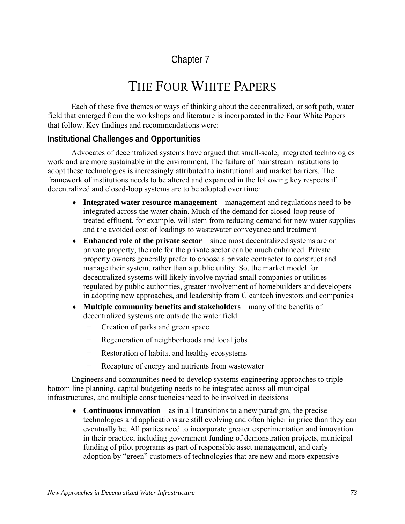## Chapter 7

# THE FOUR WHITE PAPERS

Each of these five themes or ways of thinking about the decentralized, or soft path, water field that emerged from the workshops and literature is incorporated in the Four White Papers that follow. Key findings and recommendations were:

#### **Institutional Challenges and Opportunities**

Advocates of decentralized systems have argued that small-scale, integrated technologies work and are more sustainable in the environment. The failure of mainstream institutions to adopt these technologies is increasingly attributed to institutional and market barriers. The framework of institutions needs to be altered and expanded in the following key respects if decentralized and closed-loop systems are to be adopted over time:

- ♦ **Integrated water resource management**—management and regulations need to be integrated across the water chain. Much of the demand for closed-loop reuse of treated effluent, for example, will stem from reducing demand for new water supplies and the avoided cost of loadings to wastewater conveyance and treatment
- ♦ **Enhanced role of the private sector**—since most decentralized systems are on private property, the role for the private sector can be much enhanced. Private property owners generally prefer to choose a private contractor to construct and manage their system, rather than a public utility. So, the market model for decentralized systems will likely involve myriad small companies or utilities regulated by public authorities, greater involvement of homebuilders and developers in adopting new approaches, and leadership from Cleantech investors and companies
- ♦ **Multiple community benefits and stakeholders**—many of the benefits of decentralized systems are outside the water field:
	- − Creation of parks and green space
	- − Regeneration of neighborhoods and local jobs
	- Restoration of habitat and healthy ecosystems
	- − Recapture of energy and nutrients from wastewater

Engineers and communities need to develop systems engineering approaches to triple bottom line planning, capital budgeting needs to be integrated across all municipal infrastructures, and multiple constituencies need to be involved in decisions

♦ **Continuous innovation**—as in all transitions to a new paradigm, the precise technologies and applications are still evolving and often higher in price than they can eventually be. All parties need to incorporate greater experimentation and innovation in their practice, including government funding of demonstration projects, municipal funding of pilot programs as part of responsible asset management, and early adoption by "green" customers of technologies that are new and more expensive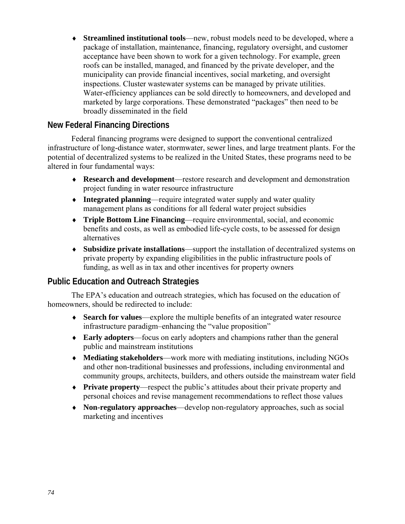♦ **Streamlined institutional tools**—new, robust models need to be developed, where a package of installation, maintenance, financing, regulatory oversight, and customer acceptance have been shown to work for a given technology. For example, green roofs can be installed, managed, and financed by the private developer, and the municipality can provide financial incentives, social marketing, and oversight inspections. Cluster wastewater systems can be managed by private utilities. Water-efficiency appliances can be sold directly to homeowners, and developed and marketed by large corporations. These demonstrated "packages" then need to be broadly disseminated in the field

#### **New Federal Financing Directions**

Federal financing programs were designed to support the conventional centralized infrastructure of long-distance water, stormwater, sewer lines, and large treatment plants. For the potential of decentralized systems to be realized in the United States, these programs need to be altered in four fundamental ways:

- ♦ **Research and development**—restore research and development and demonstration project funding in water resource infrastructure
- ♦ **Integrated planning**—require integrated water supply and water quality management plans as conditions for all federal water project subsidies
- ♦ **Triple Bottom Line Financing**—require environmental, social, and economic benefits and costs, as well as embodied life-cycle costs, to be assessed for design alternatives
- ♦ **Subsidize private installations**—support the installation of decentralized systems on private property by expanding eligibilities in the public infrastructure pools of funding, as well as in tax and other incentives for property owners

#### **Public Education and Outreach Strategies**

The EPA's education and outreach strategies, which has focused on the education of homeowners, should be redirected to include:

- ♦ **Search for values**—explore the multiple benefits of an integrated water resource infrastructure paradigm–enhancing the "value proposition"
- ♦ **Early adopters**—focus on early adopters and champions rather than the general public and mainstream institutions
- ♦ **Mediating stakeholders**—work more with mediating institutions, including NGOs and other non-traditional businesses and professions, including environmental and community groups, architects, builders, and others outside the mainstream water field
- ♦ **Private property**—respect the public's attitudes about their private property and personal choices and revise management recommendations to reflect those values
- ♦ **Non-regulatory approaches**—develop non-regulatory approaches, such as social marketing and incentives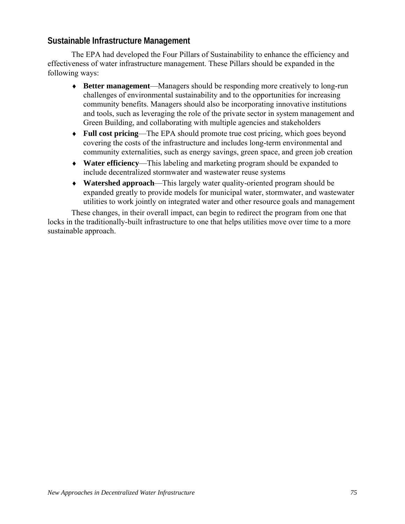#### **Sustainable Infrastructure Management**

The EPA had developed the Four Pillars of Sustainability to enhance the efficiency and effectiveness of water infrastructure management. These Pillars should be expanded in the following ways:

- ♦ **Better management**—Managers should be responding more creatively to long-run challenges of environmental sustainability and to the opportunities for increasing community benefits. Managers should also be incorporating innovative institutions and tools, such as leveraging the role of the private sector in system management and Green Building, and collaborating with multiple agencies and stakeholders
- ♦ **Full cost pricing**—The EPA should promote true cost pricing, which goes beyond covering the costs of the infrastructure and includes long-term environmental and community externalities, such as energy savings, green space, and green job creation
- ♦ **Water efficiency**—This labeling and marketing program should be expanded to include decentralized stormwater and wastewater reuse systems
- ♦ **Watershed approach**—This largely water quality-oriented program should be expanded greatly to provide models for municipal water, stormwater, and wastewater utilities to work jointly on integrated water and other resource goals and management

These changes, in their overall impact, can begin to redirect the program from one that locks in the traditionally-built infrastructure to one that helps utilities move over time to a more sustainable approach.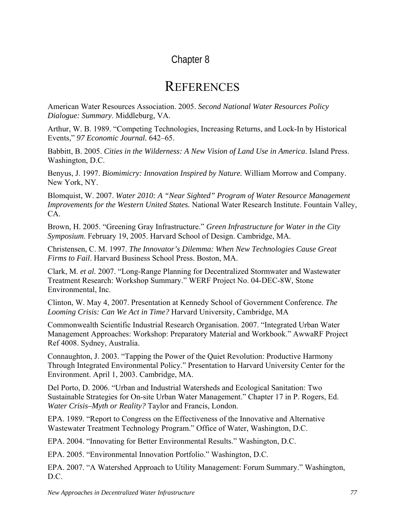### Chapter 8

# **REFERENCES**

American Water Resources Association. 2005. *Second National Water Resources Policy Dialogue: Summary*. Middleburg, VA.

Arthur, W. B. 1989. "Competing Technologies, Increasing Returns, and Lock-In by Historical Events," *97 Economic Journal.* 642–65.

Babbitt, B. 2005. *Cities in the Wilderness: A New Vision of Land Use in America*. Island Press. Washington, D.C.

Benyus, J. 1997. *Biomimicry: Innovation Inspired by Nature.* William Morrow and Company. New York, NY.

Blomquist, W. 2007. *Water 2010: A "Near Sighted" Program of Water Resource Management Improvements for the Western United States.* National Water Research Institute. Fountain Valley, CA.

Brown, H. 2005. "Greening Gray Infrastructure." *Green Infrastructure for Water in the City Symposium*. February 19, 2005. Harvard School of Design. Cambridge, MA.

Christensen, C. M. 1997. *The Innovator's Dilemma: When New Technologies Cause Great Firms to Fail*. Harvard Business School Press. Boston, MA.

Clark, M. *et al.* 2007. "Long-Range Planning for Decentralized Stormwater and Wastewater Treatment Research: Workshop Summary." WERF Project No. 04-DEC-8W, Stone Environmental, Inc.

Clinton, W. May 4, 2007. Presentation at Kennedy School of Government Conference. *The Looming Crisis: Can We Act in Time?* Harvard University, Cambridge, MA

Commonwealth Scientific Industrial Research Organisation. 2007. "Integrated Urban Water Management Approaches: Workshop: Preparatory Material and Workbook." AwwaRF Project Ref 4008. Sydney, Australia.

Connaughton, J. 2003. "Tapping the Power of the Quiet Revolution: Productive Harmony Through Integrated Environmental Policy." Presentation to Harvard University Center for the Environment. April 1, 2003. Cambridge, MA.

Del Porto, D. 2006. "Urban and Industrial Watersheds and Ecological Sanitation: Two Sustainable Strategies for On-site Urban Water Management." Chapter 17 in P. Rogers, Ed. *Water Crisis–Myth or Reality?* Taylor and Francis, London.

EPA. 1989. "Report to Congress on the Effectiveness of the Innovative and Alternative Wastewater Treatment Technology Program." Office of Water, Washington, D.C.

EPA. 2004. "Innovating for Better Environmental Results." Washington, D.C.

EPA. 2005. "Environmental Innovation Portfolio." Washington, D.C.

EPA. 2007. "A Watershed Approach to Utility Management: Forum Summary." Washington, D.C.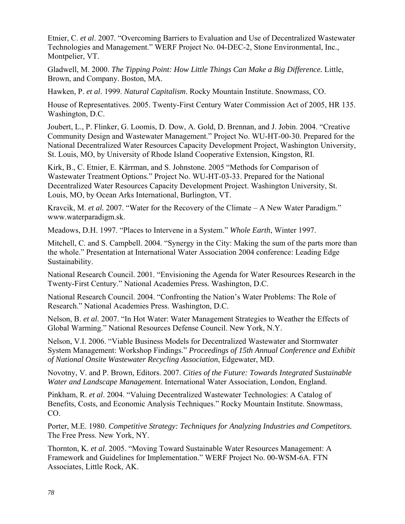Etnier, C. *et al*. 2007. "Overcoming Barriers to Evaluation and Use of Decentralized Wastewater Technologies and Management." WERF Project No. 04-DEC-2, Stone Environmental, Inc., Montpelier, VT.

Gladwell, M. 2000. *The Tipping Point: How Little Things Can Make a Big Difference.* Little, Brown, and Company. Boston, MA.

Hawken, P. *et al*. 1999. *Natural Capitalism*. Rocky Mountain Institute. Snowmass, CO.

House of Representatives. 2005. Twenty-First Century Water Commission Act of 2005, HR 135. Washington, D.C.

Joubert, L., P. Flinker, G. Loomis, D. Dow, A. Gold, D. Brennan, and J. Jobin. 2004. "Creative Community Design and Wastewater Management." Project No. WU-HT-00-30. Prepared for the National Decentralized Water Resources Capacity Development Project, Washington University, St. Louis, MO, by University of Rhode Island Cooperative Extension, Kingston, RI.

Kirk, B., C. Etnier, E. Kärrman, and S. Johnstone. 2005 "Methods for Comparison of Wastewater Treatment Options." Project No. WU-HT-03-33. Prepared for the National Decentralized Water Resources Capacity Development Project. Washington University, St. Louis, MO, by Ocean Arks International, Burlington, VT.

Kravcik, M. *et al.* 2007. "Water for the Recovery of the Climate – A New Water Paradigm." www.waterparadigm.sk.

Meadows, D.H. 1997. "Places to Intervene in a System." *Whole Earth*, Winter 1997.

Mitchell, C. and S. Campbell. 2004. "Synergy in the City: Making the sum of the parts more than the whole." Presentation at International Water Association 2004 conference: Leading Edge Sustainability.

National Research Council. 2001. "Envisioning the Agenda for Water Resources Research in the Twenty-First Century." National Academies Press*.* Washington, D.C.

National Research Council. 2004. "Confronting the Nation's Water Problems: The Role of Research." National Academies Press. Washington, D.C.

Nelson, B. *et al.* 2007. "In Hot Water: Water Management Strategies to Weather the Effects of Global Warming." National Resources Defense Council. New York, N.Y.

Nelson, V.I. 2006. "Viable Business Models for Decentralized Wastewater and Stormwater System Management: Workshop Findings." *Proceedings of 15th Annual Conference and Exhibit of National Onsite Wastewater Recycling Association*, Edgewater, MD.

Novotny, V. and P. Brown, Editors. 2007. *Cities of the Future: Towards Integrated Sustainable Water and Landscape Management.* International Water Association, London, England.

Pinkham, R. *et al*. 2004. "Valuing Decentralized Wastewater Technologies: A Catalog of Benefits, Costs, and Economic Analysis Techniques." Rocky Mountain Institute. Snowmass, CO.

Porter, M.E. 1980. *Competitive Strategy: Techniques for Analyzing Industries and Competitors.* The Free Press. New York, NY.

Thornton, K. *et al*. 2005. "Moving Toward Sustainable Water Resources Management: A Framework and Guidelines for Implementation." WERF Project No. 00-WSM-6A. FTN Associates, Little Rock, AK.